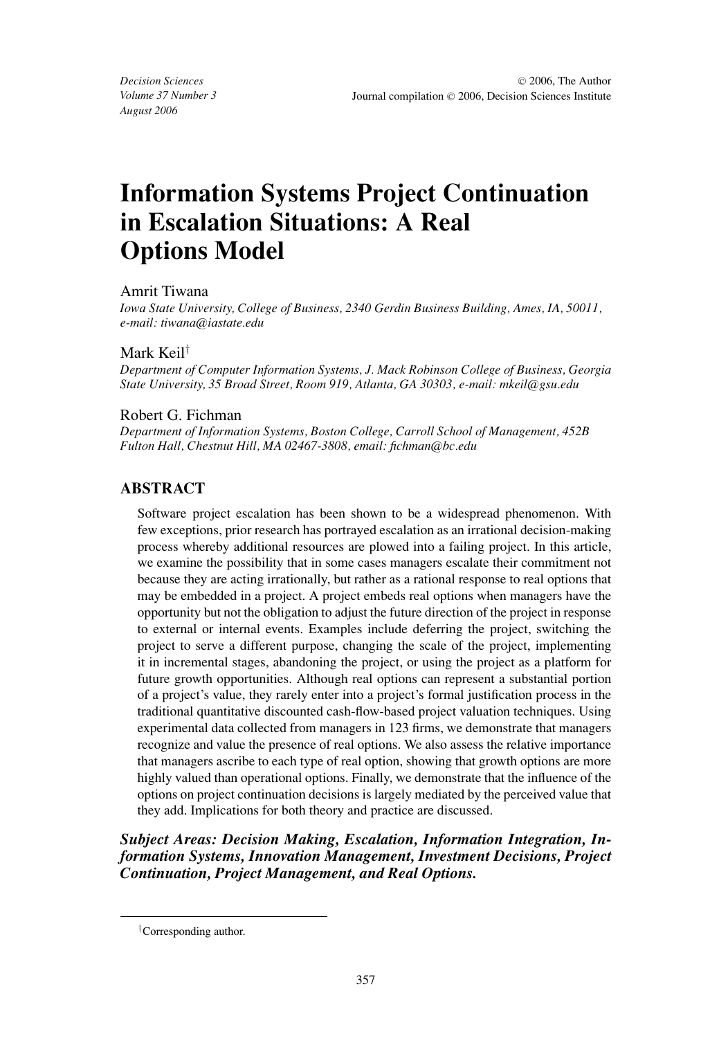# **Information Systems Project Continuation in Escalation Situations: A Real Options Model**

Amrit Tiwana

*Iowa State University, College of Business, 2340 Gerdin Business Building, Ames, IA, 50011, e-mail: tiwana@iastate.edu*

## Mark Keil†

*Department of Computer Information Systems, J. Mack Robinson College of Business, Georgia State University, 35 Broad Street, Room 919, Atlanta, GA 30303, e-mail: mkeil@gsu.edu*

# Robert G. Fichman

*Department of Information Systems, Boston College, Carroll School of Management, 452B Fulton Hall, Chestnut Hill, MA 02467-3808, email: fichman@bc.edu*

# **ABSTRACT**

Software project escalation has been shown to be a widespread phenomenon. With few exceptions, prior research has portrayed escalation as an irrational decision-making process whereby additional resources are plowed into a failing project. In this article, we examine the possibility that in some cases managers escalate their commitment not because they are acting irrationally, but rather as a rational response to real options that may be embedded in a project. A project embeds real options when managers have the opportunity but not the obligation to adjust the future direction of the project in response to external or internal events. Examples include deferring the project, switching the project to serve a different purpose, changing the scale of the project, implementing it in incremental stages, abandoning the project, or using the project as a platform for future growth opportunities. Although real options can represent a substantial portion of a project's value, they rarely enter into a project's formal justification process in the traditional quantitative discounted cash-flow-based project valuation techniques. Using experimental data collected from managers in 123 firms, we demonstrate that managers recognize and value the presence of real options. We also assess the relative importance that managers ascribe to each type of real option, showing that growth options are more highly valued than operational options. Finally, we demonstrate that the influence of the options on project continuation decisions is largely mediated by the perceived value that they add. Implications for both theory and practice are discussed.

*Subject Areas: Decision Making, Escalation, Information Integration, Information Systems, Innovation Management, Investment Decisions, Project Continuation, Project Management, and Real Options.*

<sup>†</sup>Corresponding author.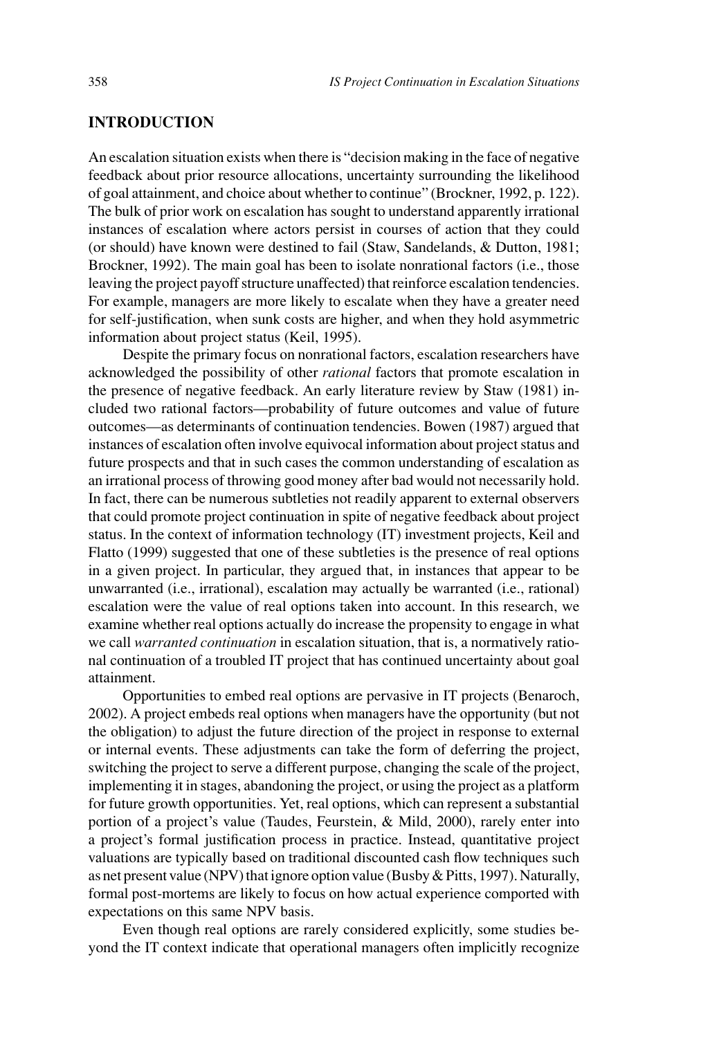# **INTRODUCTION**

An escalation situation exists when there is "decision making in the face of negative feedback about prior resource allocations, uncertainty surrounding the likelihood of goal attainment, and choice about whether to continue" (Brockner, 1992, p. 122). The bulk of prior work on escalation has sought to understand apparently irrational instances of escalation where actors persist in courses of action that they could (or should) have known were destined to fail (Staw, Sandelands, & Dutton, 1981; Brockner, 1992). The main goal has been to isolate nonrational factors (i.e., those leaving the project payoff structure unaffected) that reinforce escalation tendencies. For example, managers are more likely to escalate when they have a greater need for self-justification, when sunk costs are higher, and when they hold asymmetric information about project status (Keil, 1995).

Despite the primary focus on nonrational factors, escalation researchers have acknowledged the possibility of other *rational* factors that promote escalation in the presence of negative feedback. An early literature review by Staw (1981) included two rational factors—probability of future outcomes and value of future outcomes—as determinants of continuation tendencies. Bowen (1987) argued that instances of escalation often involve equivocal information about project status and future prospects and that in such cases the common understanding of escalation as an irrational process of throwing good money after bad would not necessarily hold. In fact, there can be numerous subtleties not readily apparent to external observers that could promote project continuation in spite of negative feedback about project status. In the context of information technology (IT) investment projects, Keil and Flatto (1999) suggested that one of these subtleties is the presence of real options in a given project. In particular, they argued that, in instances that appear to be unwarranted (i.e., irrational), escalation may actually be warranted (i.e., rational) escalation were the value of real options taken into account. In this research, we examine whether real options actually do increase the propensity to engage in what we call *warranted continuation* in escalation situation, that is, a normatively rational continuation of a troubled IT project that has continued uncertainty about goal attainment.

Opportunities to embed real options are pervasive in IT projects (Benaroch, 2002). A project embeds real options when managers have the opportunity (but not the obligation) to adjust the future direction of the project in response to external or internal events. These adjustments can take the form of deferring the project, switching the project to serve a different purpose, changing the scale of the project, implementing it in stages, abandoning the project, or using the project as a platform for future growth opportunities. Yet, real options, which can represent a substantial portion of a project's value (Taudes, Feurstein, & Mild, 2000), rarely enter into a project's formal justification process in practice. Instead, quantitative project valuations are typically based on traditional discounted cash flow techniques such as net present value (NPV) that ignore option value (Busby & Pitts, 1997). Naturally, formal post-mortems are likely to focus on how actual experience comported with expectations on this same NPV basis.

Even though real options are rarely considered explicitly, some studies beyond the IT context indicate that operational managers often implicitly recognize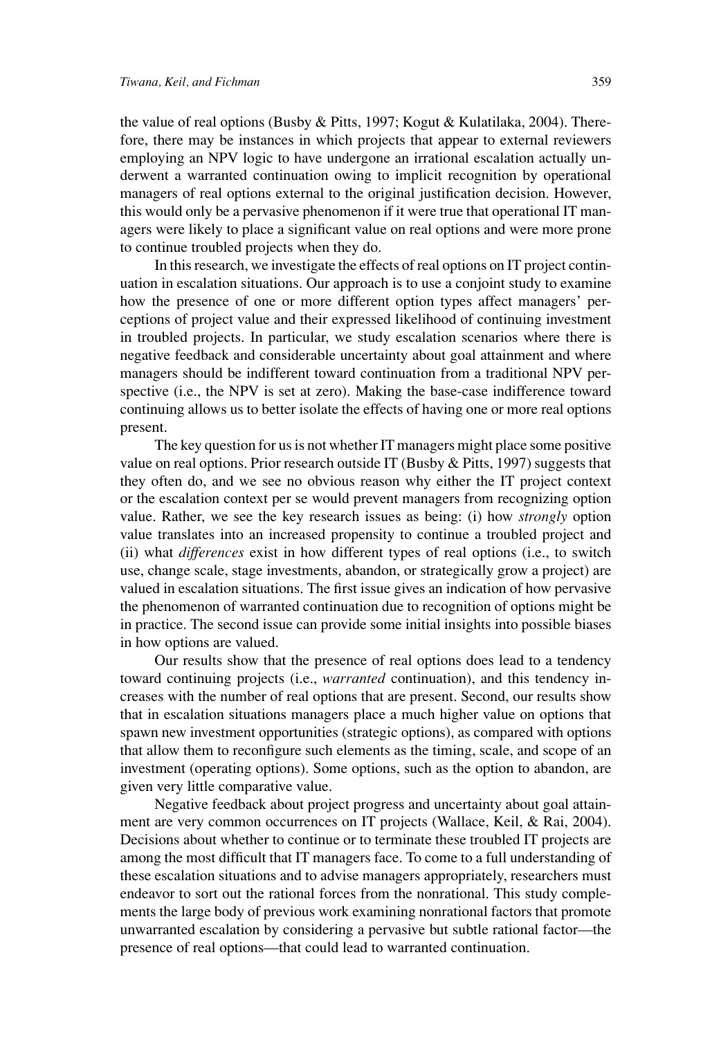the value of real options (Busby & Pitts, 1997; Kogut & Kulatilaka, 2004). Therefore, there may be instances in which projects that appear to external reviewers employing an NPV logic to have undergone an irrational escalation actually underwent a warranted continuation owing to implicit recognition by operational managers of real options external to the original justification decision. However, this would only be a pervasive phenomenon if it were true that operational IT managers were likely to place a significant value on real options and were more prone to continue troubled projects when they do.

In this research, we investigate the effects of real options on IT project continuation in escalation situations. Our approach is to use a conjoint study to examine how the presence of one or more different option types affect managers' perceptions of project value and their expressed likelihood of continuing investment in troubled projects. In particular, we study escalation scenarios where there is negative feedback and considerable uncertainty about goal attainment and where managers should be indifferent toward continuation from a traditional NPV perspective (i.e., the NPV is set at zero). Making the base-case indifference toward continuing allows us to better isolate the effects of having one or more real options present.

The key question for us is not whether IT managers might place some positive value on real options. Prior research outside IT (Busby & Pitts, 1997) suggests that they often do, and we see no obvious reason why either the IT project context or the escalation context per se would prevent managers from recognizing option value. Rather, we see the key research issues as being: (i) how *strongly* option value translates into an increased propensity to continue a troubled project and (ii) what *differences* exist in how different types of real options (i.e., to switch use, change scale, stage investments, abandon, or strategically grow a project) are valued in escalation situations. The first issue gives an indication of how pervasive the phenomenon of warranted continuation due to recognition of options might be in practice. The second issue can provide some initial insights into possible biases in how options are valued.

Our results show that the presence of real options does lead to a tendency toward continuing projects (i.e., *warranted* continuation), and this tendency increases with the number of real options that are present. Second, our results show that in escalation situations managers place a much higher value on options that spawn new investment opportunities (strategic options), as compared with options that allow them to reconfigure such elements as the timing, scale, and scope of an investment (operating options). Some options, such as the option to abandon, are given very little comparative value.

Negative feedback about project progress and uncertainty about goal attainment are very common occurrences on IT projects (Wallace, Keil, & Rai, 2004). Decisions about whether to continue or to terminate these troubled IT projects are among the most difficult that IT managers face. To come to a full understanding of these escalation situations and to advise managers appropriately, researchers must endeavor to sort out the rational forces from the nonrational. This study complements the large body of previous work examining nonrational factors that promote unwarranted escalation by considering a pervasive but subtle rational factor—the presence of real options—that could lead to warranted continuation.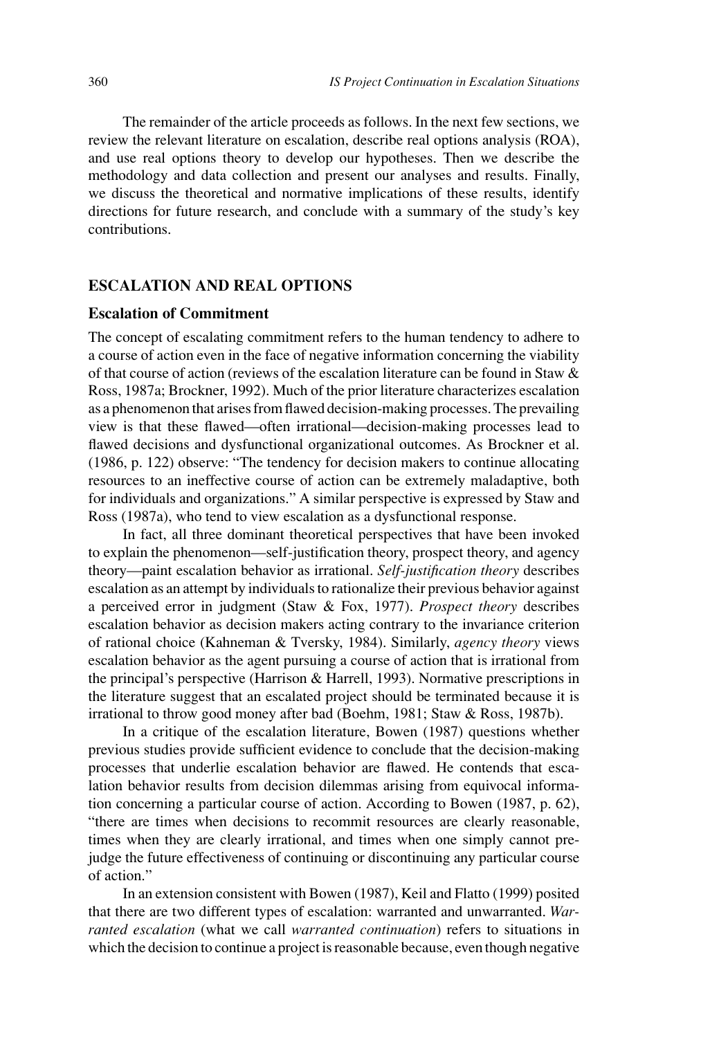The remainder of the article proceeds as follows. In the next few sections, we review the relevant literature on escalation, describe real options analysis (ROA), and use real options theory to develop our hypotheses. Then we describe the methodology and data collection and present our analyses and results. Finally, we discuss the theoretical and normative implications of these results, identify directions for future research, and conclude with a summary of the study's key contributions.

# **ESCALATION AND REAL OPTIONS**

#### **Escalation of Commitment**

The concept of escalating commitment refers to the human tendency to adhere to a course of action even in the face of negative information concerning the viability of that course of action (reviews of the escalation literature can be found in Staw & Ross, 1987a; Brockner, 1992). Much of the prior literature characterizes escalation as a phenomenon that arises from flawed decision-making processes. The prevailing view is that these flawed—often irrational—decision-making processes lead to flawed decisions and dysfunctional organizational outcomes. As Brockner et al. (1986, p. 122) observe: "The tendency for decision makers to continue allocating resources to an ineffective course of action can be extremely maladaptive, both for individuals and organizations." A similar perspective is expressed by Staw and Ross (1987a), who tend to view escalation as a dysfunctional response.

In fact, all three dominant theoretical perspectives that have been invoked to explain the phenomenon—self-justification theory, prospect theory, and agency theory—paint escalation behavior as irrational. *Self-justification theory* describes escalation as an attempt by individuals to rationalize their previous behavior against a perceived error in judgment (Staw & Fox, 1977). *Prospect theory* describes escalation behavior as decision makers acting contrary to the invariance criterion of rational choice (Kahneman & Tversky, 1984). Similarly, *agency theory* views escalation behavior as the agent pursuing a course of action that is irrational from the principal's perspective (Harrison & Harrell, 1993). Normative prescriptions in the literature suggest that an escalated project should be terminated because it is irrational to throw good money after bad (Boehm, 1981; Staw & Ross, 1987b).

In a critique of the escalation literature, Bowen (1987) questions whether previous studies provide sufficient evidence to conclude that the decision-making processes that underlie escalation behavior are flawed. He contends that escalation behavior results from decision dilemmas arising from equivocal information concerning a particular course of action. According to Bowen (1987, p. 62), "there are times when decisions to recommit resources are clearly reasonable, times when they are clearly irrational, and times when one simply cannot prejudge the future effectiveness of continuing or discontinuing any particular course of action."

In an extension consistent with Bowen (1987), Keil and Flatto (1999) posited that there are two different types of escalation: warranted and unwarranted. *Warranted escalation* (what we call *warranted continuation*) refers to situations in which the decision to continue a project is reasonable because, even though negative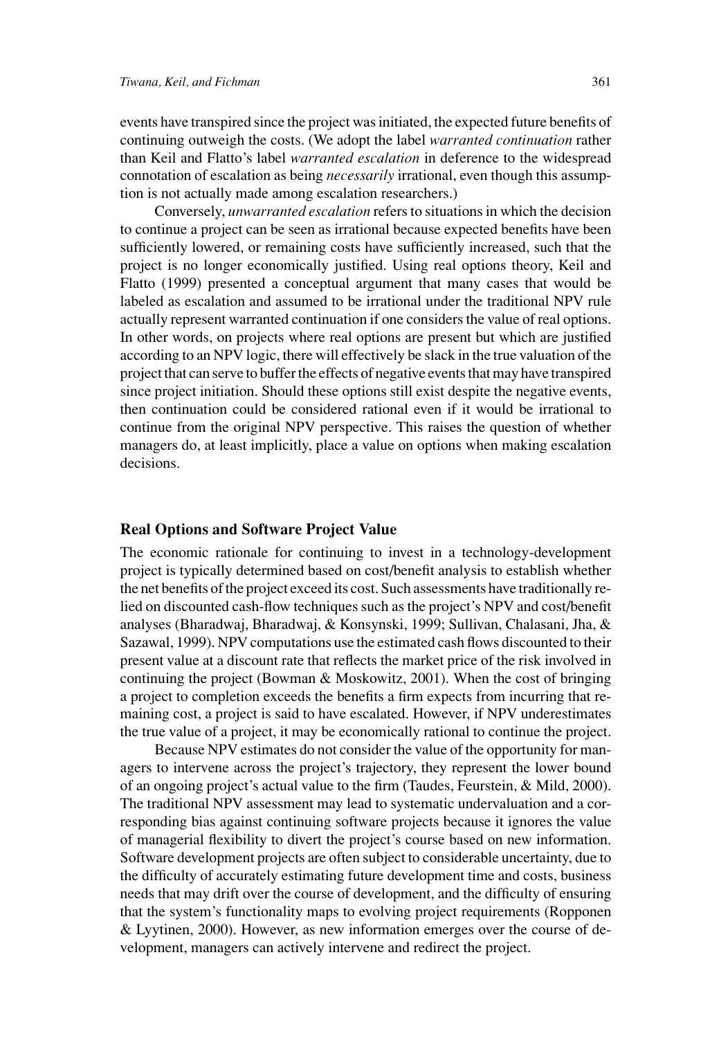events have transpired since the project was initiated, the expected future benefits of continuing outweigh the costs. (We adopt the label *warranted continuation* rather than Keil and Flatto's label *warranted escalation* in deference to the widespread connotation of escalation as being *necessarily* irrational, even though this assumption is not actually made among escalation researchers.)

Conversely, *unwarranted escalation* refers to situations in which the decision to continue a project can be seen as irrational because expected benefits have been sufficiently lowered, or remaining costs have sufficiently increased, such that the project is no longer economically justified. Using real options theory, Keil and Flatto (1999) presented a conceptual argument that many cases that would be labeled as escalation and assumed to be irrational under the traditional NPV rule actually represent warranted continuation if one considers the value of real options. In other words, on projects where real options are present but which are justified according to an NPV logic, there will effectively be slack in the true valuation of the project that can serve to buffer the effects of negative events that may have transpired since project initiation. Should these options still exist despite the negative events, then continuation could be considered rational even if it would be irrational to continue from the original NPV perspective. This raises the question of whether managers do, at least implicitly, place a value on options when making escalation decisions.

#### **Real Options and Software Project Value**

The economic rationale for continuing to invest in a technology-development project is typically determined based on cost/benefit analysis to establish whether the net benefits of the project exceed its cost. Such assessments have traditionally relied on discounted cash-flow techniques such as the project's NPV and cost/benefit analyses (Bharadwaj, Bharadwaj, & Konsynski, 1999; Sullivan, Chalasani, Jha, & Sazawal, 1999). NPV computations use the estimated cash flows discounted to their present value at a discount rate that reflects the market price of the risk involved in continuing the project (Bowman & Moskowitz, 2001). When the cost of bringing a project to completion exceeds the benefits a firm expects from incurring that remaining cost, a project is said to have escalated. However, if NPV underestimates the true value of a project, it may be economically rational to continue the project.

Because NPV estimates do not consider the value of the opportunity for managers to intervene across the project's trajectory, they represent the lower bound of an ongoing project's actual value to the firm (Taudes, Feurstein, & Mild, 2000). The traditional NPV assessment may lead to systematic undervaluation and a corresponding bias against continuing software projects because it ignores the value of managerial flexibility to divert the project's course based on new information. Software development projects are often subject to considerable uncertainty, due to the difficulty of accurately estimating future development time and costs, business needs that may drift over the course of development, and the difficulty of ensuring that the system's functionality maps to evolving project requirements (Ropponen & Lyytinen, 2000). However, as new information emerges over the course of development, managers can actively intervene and redirect the project.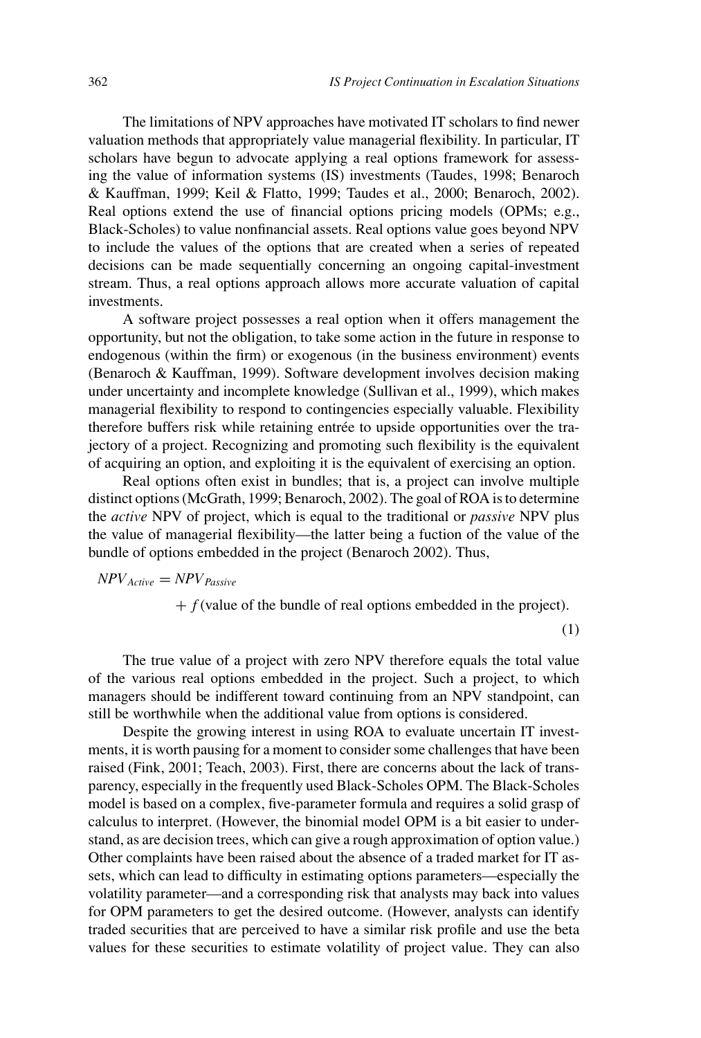The limitations of NPV approaches have motivated IT scholars to find newer valuation methods that appropriately value managerial flexibility. In particular, IT scholars have begun to advocate applying a real options framework for assessing the value of information systems (IS) investments (Taudes, 1998; Benaroch & Kauffman, 1999; Keil & Flatto, 1999; Taudes et al., 2000; Benaroch, 2002). Real options extend the use of financial options pricing models (OPMs; e.g., Black-Scholes) to value nonfinancial assets. Real options value goes beyond NPV to include the values of the options that are created when a series of repeated decisions can be made sequentially concerning an ongoing capital-investment stream. Thus, a real options approach allows more accurate valuation of capital investments.

A software project possesses a real option when it offers management the opportunity, but not the obligation, to take some action in the future in response to endogenous (within the firm) or exogenous (in the business environment) events (Benaroch & Kauffman, 1999). Software development involves decision making under uncertainty and incomplete knowledge (Sullivan et al., 1999), which makes managerial flexibility to respond to contingencies especially valuable. Flexibility therefore buffers risk while retaining entrée to upside opportunities over the trajectory of a project. Recognizing and promoting such flexibility is the equivalent of acquiring an option, and exploiting it is the equivalent of exercising an option.

Real options often exist in bundles; that is, a project can involve multiple distinct options (McGrath, 1999; Benaroch, 2002). The goal of ROA is to determine the *active* NPV of project, which is equal to the traditional or *passive* NPV plus the value of managerial flexibility—the latter being a fuction of the value of the bundle of options embedded in the project (Benaroch 2002). Thus,

$$
NPV_{Active} = NPV_{Passive}
$$

 $+ f$  (value of the bundle of real options embedded in the project).

(1)

The true value of a project with zero NPV therefore equals the total value of the various real options embedded in the project. Such a project, to which managers should be indifferent toward continuing from an NPV standpoint, can still be worthwhile when the additional value from options is considered.

Despite the growing interest in using ROA to evaluate uncertain IT investments, it is worth pausing for a moment to consider some challenges that have been raised (Fink, 2001; Teach, 2003). First, there are concerns about the lack of transparency, especially in the frequently used Black-Scholes OPM. The Black-Scholes model is based on a complex, five-parameter formula and requires a solid grasp of calculus to interpret. (However, the binomial model OPM is a bit easier to understand, as are decision trees, which can give a rough approximation of option value.) Other complaints have been raised about the absence of a traded market for IT assets, which can lead to difficulty in estimating options parameters—especially the volatility parameter—and a corresponding risk that analysts may back into values for OPM parameters to get the desired outcome. (However, analysts can identify traded securities that are perceived to have a similar risk profile and use the beta values for these securities to estimate volatility of project value. They can also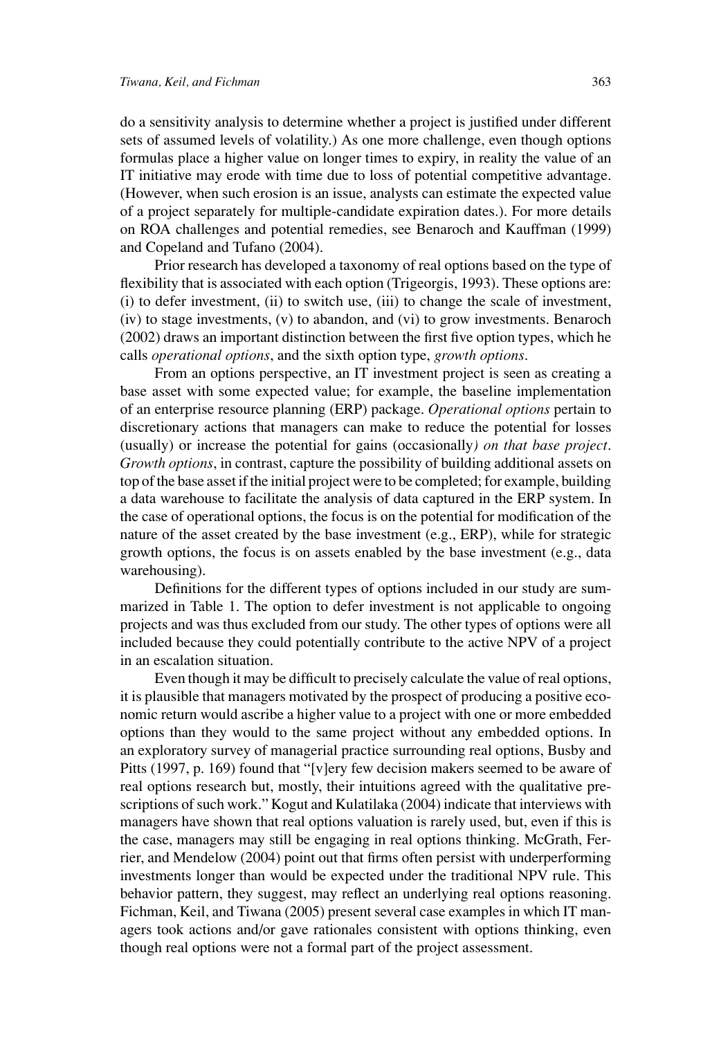do a sensitivity analysis to determine whether a project is justified under different sets of assumed levels of volatility.) As one more challenge, even though options formulas place a higher value on longer times to expiry, in reality the value of an IT initiative may erode with time due to loss of potential competitive advantage. (However, when such erosion is an issue, analysts can estimate the expected value of a project separately for multiple-candidate expiration dates.). For more details on ROA challenges and potential remedies, see Benaroch and Kauffman (1999) and Copeland and Tufano (2004).

Prior research has developed a taxonomy of real options based on the type of flexibility that is associated with each option (Trigeorgis, 1993). These options are: (i) to defer investment, (ii) to switch use, (iii) to change the scale of investment, (iv) to stage investments, (v) to abandon, and (vi) to grow investments. Benaroch (2002) draws an important distinction between the first five option types, which he calls *operational options*, and the sixth option type, *growth options*.

From an options perspective, an IT investment project is seen as creating a base asset with some expected value; for example, the baseline implementation of an enterprise resource planning (ERP) package. *Operational options* pertain to discretionary actions that managers can make to reduce the potential for losses (usually) or increase the potential for gains (occasionally*) on that base project*. *Growth options*, in contrast, capture the possibility of building additional assets on top of the base asset if the initial project were to be completed; for example, building a data warehouse to facilitate the analysis of data captured in the ERP system. In the case of operational options, the focus is on the potential for modification of the nature of the asset created by the base investment (e.g., ERP), while for strategic growth options, the focus is on assets enabled by the base investment (e.g., data warehousing).

Definitions for the different types of options included in our study are summarized in Table 1. The option to defer investment is not applicable to ongoing projects and was thus excluded from our study. The other types of options were all included because they could potentially contribute to the active NPV of a project in an escalation situation.

Even though it may be difficult to precisely calculate the value of real options, it is plausible that managers motivated by the prospect of producing a positive economic return would ascribe a higher value to a project with one or more embedded options than they would to the same project without any embedded options. In an exploratory survey of managerial practice surrounding real options, Busby and Pitts (1997, p. 169) found that "[v]ery few decision makers seemed to be aware of real options research but, mostly, their intuitions agreed with the qualitative prescriptions of such work." Kogut and Kulatilaka (2004) indicate that interviews with managers have shown that real options valuation is rarely used, but, even if this is the case, managers may still be engaging in real options thinking. McGrath, Ferrier, and Mendelow (2004) point out that firms often persist with underperforming investments longer than would be expected under the traditional NPV rule. This behavior pattern, they suggest, may reflect an underlying real options reasoning. Fichman, Keil, and Tiwana (2005) present several case examples in which IT managers took actions and/or gave rationales consistent with options thinking, even though real options were not a formal part of the project assessment.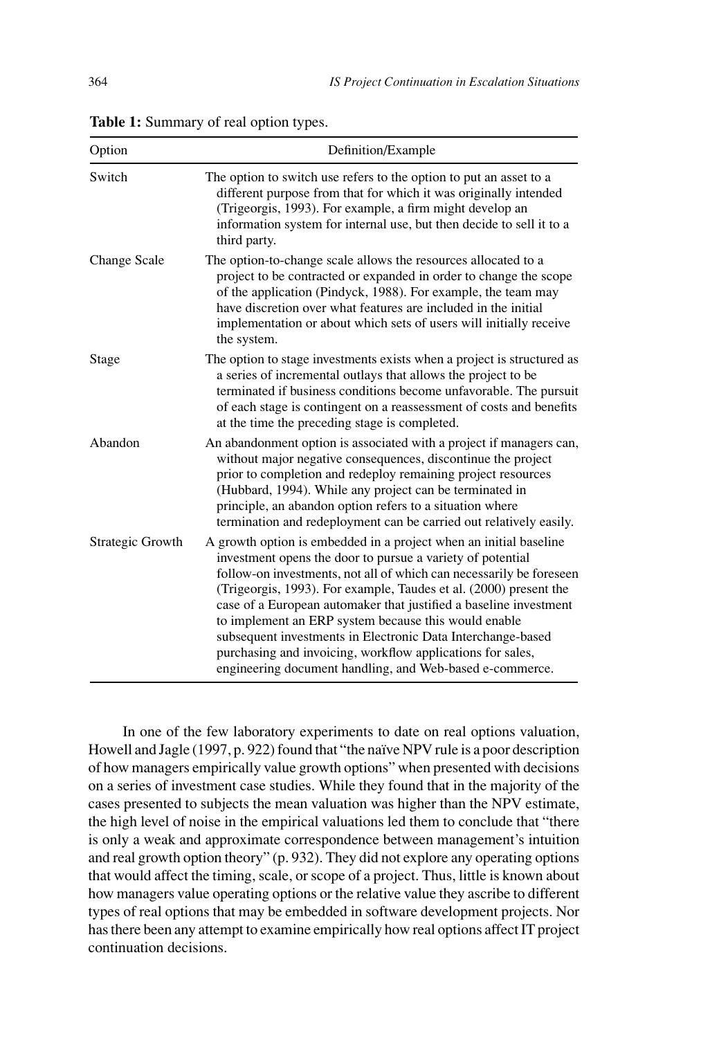| Option              | Definition/Example                                                                                                                                                                                                                                                                                                                                                                                                                                                                                                                                                                                |
|---------------------|---------------------------------------------------------------------------------------------------------------------------------------------------------------------------------------------------------------------------------------------------------------------------------------------------------------------------------------------------------------------------------------------------------------------------------------------------------------------------------------------------------------------------------------------------------------------------------------------------|
| Switch              | The option to switch use refers to the option to put an asset to a<br>different purpose from that for which it was originally intended<br>(Trigeorgis, 1993). For example, a firm might develop an<br>information system for internal use, but then decide to sell it to a<br>third party.                                                                                                                                                                                                                                                                                                        |
| <b>Change Scale</b> | The option-to-change scale allows the resources allocated to a<br>project to be contracted or expanded in order to change the scope<br>of the application (Pindyck, 1988). For example, the team may<br>have discretion over what features are included in the initial<br>implementation or about which sets of users will initially receive<br>the system.                                                                                                                                                                                                                                       |
| Stage               | The option to stage investments exists when a project is structured as<br>a series of incremental outlays that allows the project to be<br>terminated if business conditions become unfavorable. The pursuit<br>of each stage is contingent on a reassessment of costs and benefits<br>at the time the preceding stage is completed.                                                                                                                                                                                                                                                              |
| Abandon             | An abandonment option is associated with a project if managers can,<br>without major negative consequences, discontinue the project<br>prior to completion and redeploy remaining project resources<br>(Hubbard, 1994). While any project can be terminated in<br>principle, an abandon option refers to a situation where<br>termination and redeployment can be carried out relatively easily.                                                                                                                                                                                                  |
| Strategic Growth    | A growth option is embedded in a project when an initial baseline<br>investment opens the door to pursue a variety of potential<br>follow-on investments, not all of which can necessarily be foreseen<br>(Trigeorgis, 1993). For example, Taudes et al. (2000) present the<br>case of a European automaker that justified a baseline investment<br>to implement an ERP system because this would enable<br>subsequent investments in Electronic Data Interchange-based<br>purchasing and invoicing, workflow applications for sales,<br>engineering document handling, and Web-based e-commerce. |

**Table 1:** Summary of real option types.

In one of the few laboratory experiments to date on real options valuation, Howell and Jagle (1997, p. 922) found that "the naïve NPV rule is a poor description of how managers empirically value growth options" when presented with decisions on a series of investment case studies. While they found that in the majority of the cases presented to subjects the mean valuation was higher than the NPV estimate, the high level of noise in the empirical valuations led them to conclude that "there is only a weak and approximate correspondence between management's intuition and real growth option theory" (p. 932). They did not explore any operating options that would affect the timing, scale, or scope of a project. Thus, little is known about how managers value operating options or the relative value they ascribe to different types of real options that may be embedded in software development projects. Nor has there been any attempt to examine empirically how real options affect IT project continuation decisions.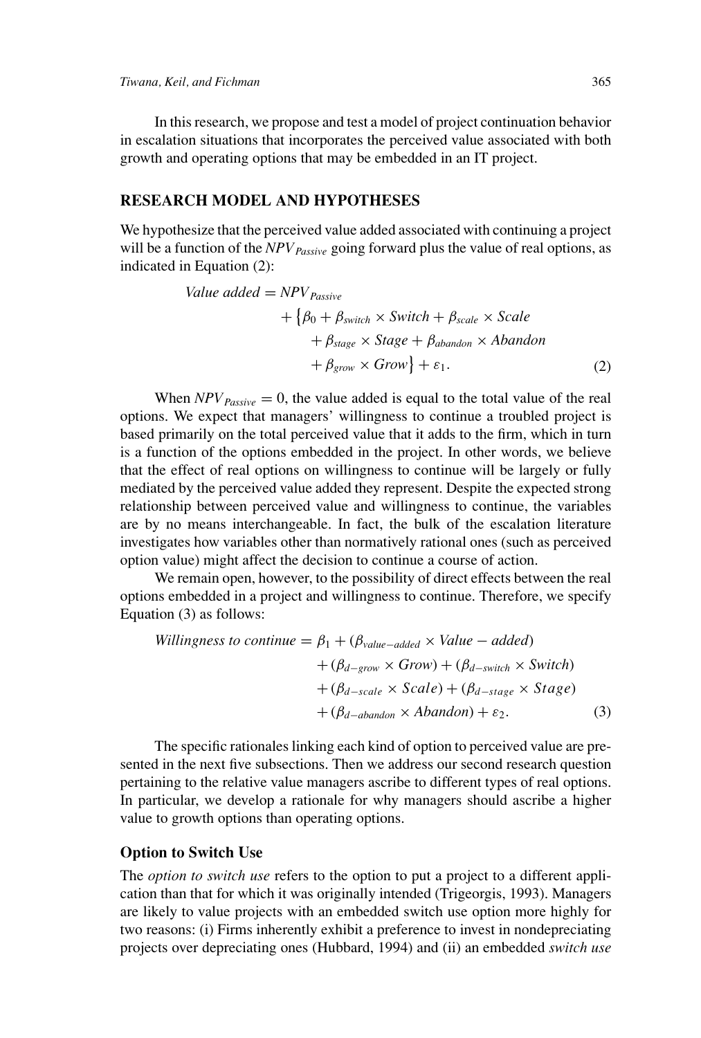In this research, we propose and test a model of project continuation behavior in escalation situations that incorporates the perceived value associated with both growth and operating options that may be embedded in an IT project.

#### **RESEARCH MODEL AND HYPOTHESES**

We hypothesize that the perceived value added associated with continuing a project will be a function of the *NPVPassive* going forward plus the value of real options, as indicated in Equation (2):

Value added = 
$$
NPV_{Passive}
$$
  
+ { $\beta_0$  +  $\beta_{switch} \times Switch + \beta_{scale} \times Scale$   
+  $\beta_{stage} \times Stage + \beta_{abandon} \times Abandon$   
+  $\beta_{grow} \times Group$ } +  $\varepsilon_1$ . (2)

When  $NPV_{Passive} = 0$ , the value added is equal to the total value of the real options. We expect that managers' willingness to continue a troubled project is based primarily on the total perceived value that it adds to the firm, which in turn is a function of the options embedded in the project. In other words, we believe that the effect of real options on willingness to continue will be largely or fully mediated by the perceived value added they represent. Despite the expected strong relationship between perceived value and willingness to continue, the variables are by no means interchangeable. In fact, the bulk of the escalation literature investigates how variables other than normatively rational ones (such as perceived option value) might affect the decision to continue a course of action.

We remain open, however, to the possibility of direct effects between the real options embedded in a project and willingness to continue. Therefore, we specify Equation (3) as follows:

Williamsness to continue = 
$$
\beta_1 + (\beta_{value-added} \times Value - added)
$$

\n
$$
+ (\beta_{d-grow} \times Grow) + (\beta_{d-switch} \times Switch)
$$
\n
$$
+ (\beta_{d-scale} \times Scale) + (\beta_{d-stage} \times Stage)
$$
\n
$$
+ (\beta_{d-abandon} \times Abandon) + \varepsilon_2.
$$
\n(3)

The specific rationales linking each kind of option to perceived value are presented in the next five subsections. Then we address our second research question pertaining to the relative value managers ascribe to different types of real options. In particular, we develop a rationale for why managers should ascribe a higher value to growth options than operating options.

#### **Option to Switch Use**

The *option to switch use* refers to the option to put a project to a different application than that for which it was originally intended (Trigeorgis, 1993). Managers are likely to value projects with an embedded switch use option more highly for two reasons: (i) Firms inherently exhibit a preference to invest in nondepreciating projects over depreciating ones (Hubbard, 1994) and (ii) an embedded *switch use*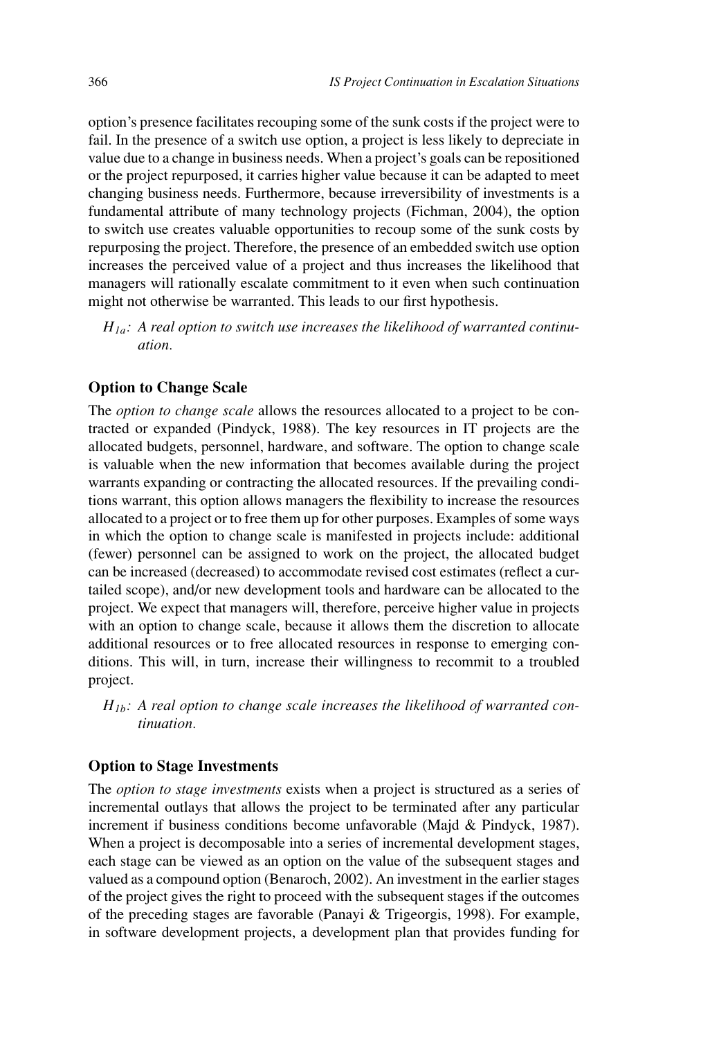option's presence facilitates recouping some of the sunk costs if the project were to fail. In the presence of a switch use option, a project is less likely to depreciate in value due to a change in business needs. When a project's goals can be repositioned or the project repurposed, it carries higher value because it can be adapted to meet changing business needs. Furthermore, because irreversibility of investments is a fundamental attribute of many technology projects (Fichman, 2004), the option to switch use creates valuable opportunities to recoup some of the sunk costs by repurposing the project. Therefore, the presence of an embedded switch use option increases the perceived value of a project and thus increases the likelihood that managers will rationally escalate commitment to it even when such continuation might not otherwise be warranted. This leads to our first hypothesis.

*H1a: A real option to switch use increases the likelihood of warranted continuation.*

#### **Option to Change Scale**

The *option to change scale* allows the resources allocated to a project to be contracted or expanded (Pindyck, 1988). The key resources in IT projects are the allocated budgets, personnel, hardware, and software. The option to change scale is valuable when the new information that becomes available during the project warrants expanding or contracting the allocated resources. If the prevailing conditions warrant, this option allows managers the flexibility to increase the resources allocated to a project or to free them up for other purposes. Examples of some ways in which the option to change scale is manifested in projects include: additional (fewer) personnel can be assigned to work on the project, the allocated budget can be increased (decreased) to accommodate revised cost estimates (reflect a curtailed scope), and/or new development tools and hardware can be allocated to the project. We expect that managers will, therefore, perceive higher value in projects with an option to change scale, because it allows them the discretion to allocate additional resources or to free allocated resources in response to emerging conditions. This will, in turn, increase their willingness to recommit to a troubled project.

*H1b: A real option to change scale increases the likelihood of warranted continuation.*

# **Option to Stage Investments**

The *option to stage investments* exists when a project is structured as a series of incremental outlays that allows the project to be terminated after any particular increment if business conditions become unfavorable (Majd & Pindyck, 1987). When a project is decomposable into a series of incremental development stages, each stage can be viewed as an option on the value of the subsequent stages and valued as a compound option (Benaroch, 2002). An investment in the earlier stages of the project gives the right to proceed with the subsequent stages if the outcomes of the preceding stages are favorable (Panayi & Trigeorgis, 1998). For example, in software development projects, a development plan that provides funding for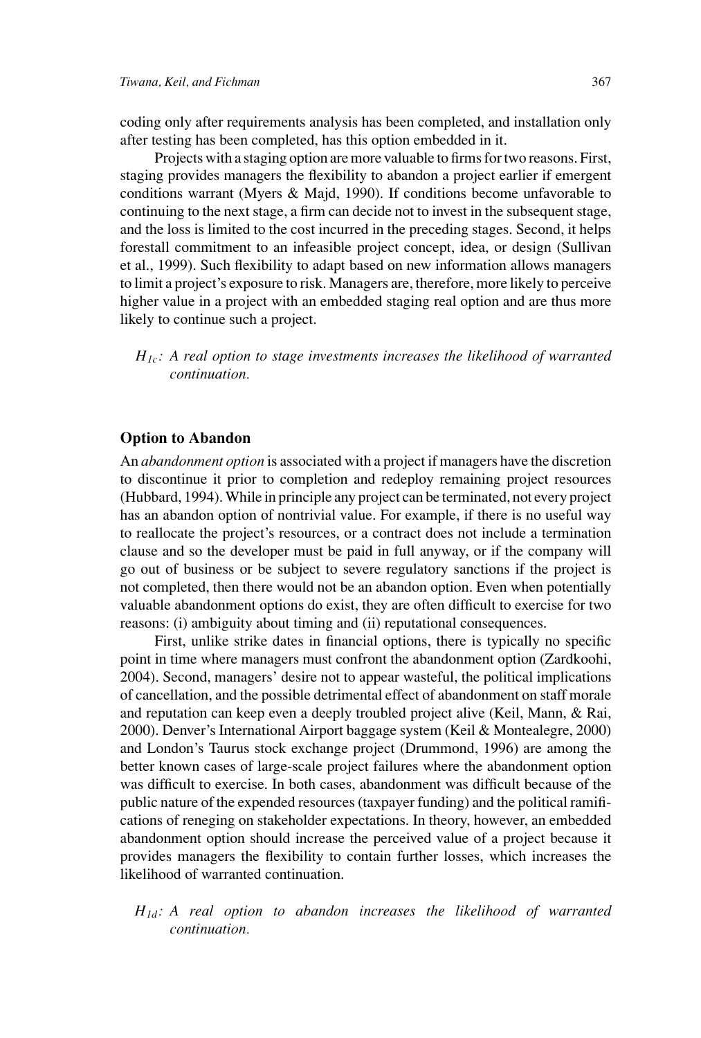coding only after requirements analysis has been completed, and installation only after testing has been completed, has this option embedded in it.

Projects with a staging option are more valuable to firms for two reasons. First, staging provides managers the flexibility to abandon a project earlier if emergent conditions warrant (Myers & Majd, 1990). If conditions become unfavorable to continuing to the next stage, a firm can decide not to invest in the subsequent stage, and the loss is limited to the cost incurred in the preceding stages. Second, it helps forestall commitment to an infeasible project concept, idea, or design (Sullivan et al., 1999). Such flexibility to adapt based on new information allows managers to limit a project's exposure to risk. Managers are, therefore, more likely to perceive higher value in a project with an embedded staging real option and are thus more likely to continue such a project.

*H1c: A real option to stage investments increases the likelihood of warranted continuation.*

## **Option to Abandon**

An *abandonment option* is associated with a project if managers have the discretion to discontinue it prior to completion and redeploy remaining project resources (Hubbard, 1994). While in principle any project can be terminated, not every project has an abandon option of nontrivial value. For example, if there is no useful way to reallocate the project's resources, or a contract does not include a termination clause and so the developer must be paid in full anyway, or if the company will go out of business or be subject to severe regulatory sanctions if the project is not completed, then there would not be an abandon option. Even when potentially valuable abandonment options do exist, they are often difficult to exercise for two reasons: (i) ambiguity about timing and (ii) reputational consequences.

First, unlike strike dates in financial options, there is typically no specific point in time where managers must confront the abandonment option (Zardkoohi, 2004). Second, managers' desire not to appear wasteful, the political implications of cancellation, and the possible detrimental effect of abandonment on staff morale and reputation can keep even a deeply troubled project alive (Keil, Mann, & Rai, 2000). Denver's International Airport baggage system (Keil & Montealegre, 2000) and London's Taurus stock exchange project (Drummond, 1996) are among the better known cases of large-scale project failures where the abandonment option was difficult to exercise. In both cases, abandonment was difficult because of the public nature of the expended resources (taxpayer funding) and the political ramifications of reneging on stakeholder expectations. In theory, however, an embedded abandonment option should increase the perceived value of a project because it provides managers the flexibility to contain further losses, which increases the likelihood of warranted continuation.

*H1d: A real option to abandon increases the likelihood of warranted continuation.*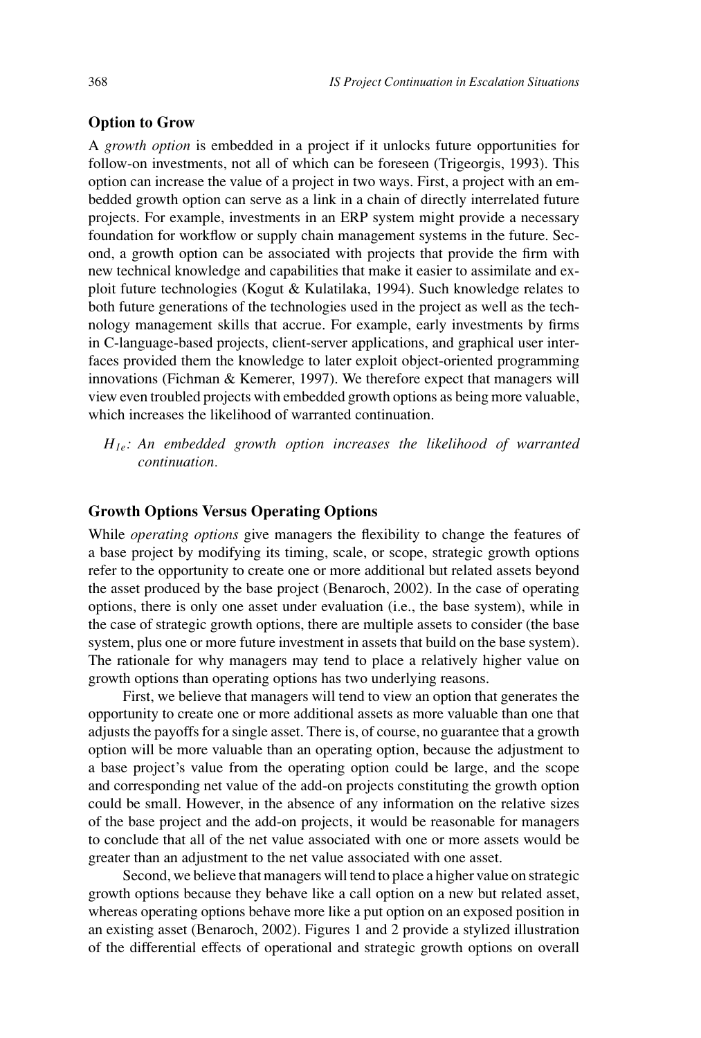# **Option to Grow**

A *growth option* is embedded in a project if it unlocks future opportunities for follow-on investments, not all of which can be foreseen (Trigeorgis, 1993). This option can increase the value of a project in two ways. First, a project with an embedded growth option can serve as a link in a chain of directly interrelated future projects. For example, investments in an ERP system might provide a necessary foundation for workflow or supply chain management systems in the future. Second, a growth option can be associated with projects that provide the firm with new technical knowledge and capabilities that make it easier to assimilate and exploit future technologies (Kogut & Kulatilaka, 1994). Such knowledge relates to both future generations of the technologies used in the project as well as the technology management skills that accrue. For example, early investments by firms in C-language-based projects, client-server applications, and graphical user interfaces provided them the knowledge to later exploit object-oriented programming innovations (Fichman & Kemerer, 1997). We therefore expect that managers will view even troubled projects with embedded growth options as being more valuable, which increases the likelihood of warranted continuation.

*H1e: An embedded growth option increases the likelihood of warranted continuation.*

## **Growth Options Versus Operating Options**

While *operating options* give managers the flexibility to change the features of a base project by modifying its timing, scale, or scope, strategic growth options refer to the opportunity to create one or more additional but related assets beyond the asset produced by the base project (Benaroch, 2002). In the case of operating options, there is only one asset under evaluation (i.e., the base system), while in the case of strategic growth options, there are multiple assets to consider (the base system, plus one or more future investment in assets that build on the base system). The rationale for why managers may tend to place a relatively higher value on growth options than operating options has two underlying reasons.

First, we believe that managers will tend to view an option that generates the opportunity to create one or more additional assets as more valuable than one that adjusts the payoffs for a single asset. There is, of course, no guarantee that a growth option will be more valuable than an operating option, because the adjustment to a base project's value from the operating option could be large, and the scope and corresponding net value of the add-on projects constituting the growth option could be small. However, in the absence of any information on the relative sizes of the base project and the add-on projects, it would be reasonable for managers to conclude that all of the net value associated with one or more assets would be greater than an adjustment to the net value associated with one asset.

Second, we believe that managers will tend to place a higher value on strategic growth options because they behave like a call option on a new but related asset, whereas operating options behave more like a put option on an exposed position in an existing asset (Benaroch, 2002). Figures 1 and 2 provide a stylized illustration of the differential effects of operational and strategic growth options on overall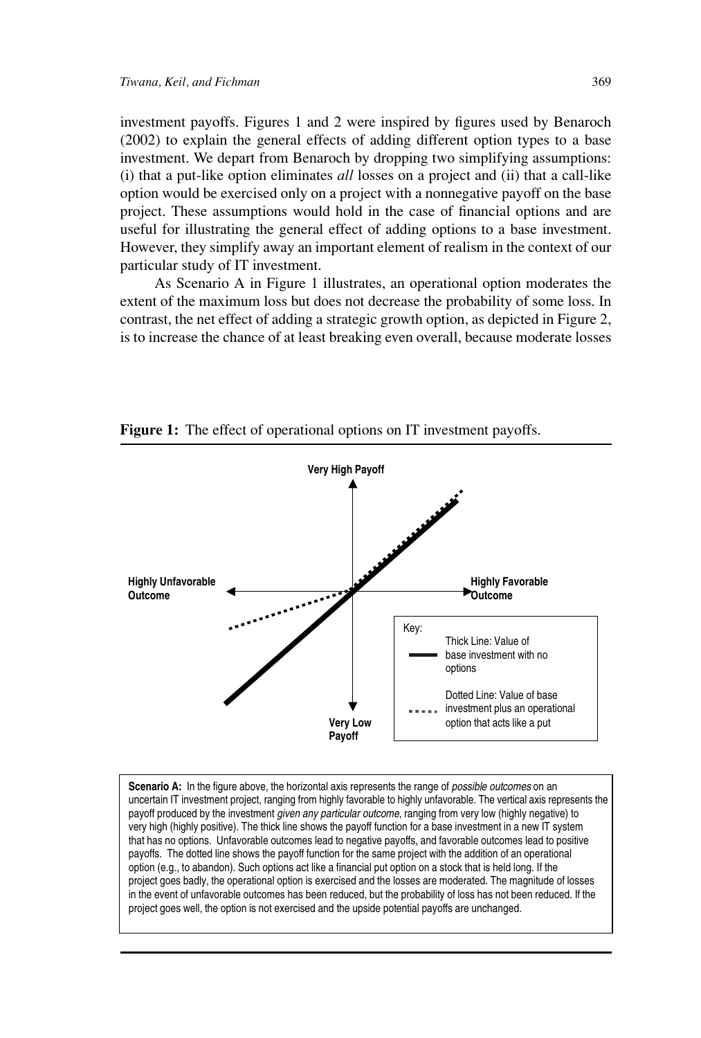investment payoffs. Figures 1 and 2 were inspired by figures used by Benaroch (2002) to explain the general effects of adding different option types to a base investment. We depart from Benaroch by dropping two simplifying assumptions: (i) that a put-like option eliminates *all* losses on a project and (ii) that a call-like option would be exercised only on a project with a nonnegative payoff on the base project. These assumptions would hold in the case of financial options and are useful for illustrating the general effect of adding options to a base investment. However, they simplify away an important element of realism in the context of our particular study of IT investment.

As Scenario A in Figure 1 illustrates, an operational option moderates the extent of the maximum loss but does not decrease the probability of some loss. In contrast, the net effect of adding a strategic growth option, as depicted in Figure 2, is to increase the chance of at least breaking even overall, because moderate losses



**Figure 1:** The effect of operational options on IT investment payoffs.

**Scenario A:** In the figure above, the horizontal axis represents the range of *possible outcomes* on an uncertain IT investment project, ranging from highly favorable to highly unfavorable. The vertical axis represents the payoff produced by the investment given any particular outcome, ranging from very low (highly negative) to very high (highly positive). The thick line shows the payoff function for a base investment in a new IT system that has no options. Unfavorable outcomes lead to negative payoffs, and favorable outcomes lead to positive payoffs. The dotted line shows the payoff function for the same project with the addition of an operational option (e.g., to abandon). Such options act like a financial put option on a stock that is held long. If the project goes badly, the operational option is exercised and the losses are moderated. The magnitude of losses in the event of unfavorable outcomes has been reduced, but the probability of loss has not been reduced. If the project goes well, the option is not exercised and the upside potential payoffs are unchanged.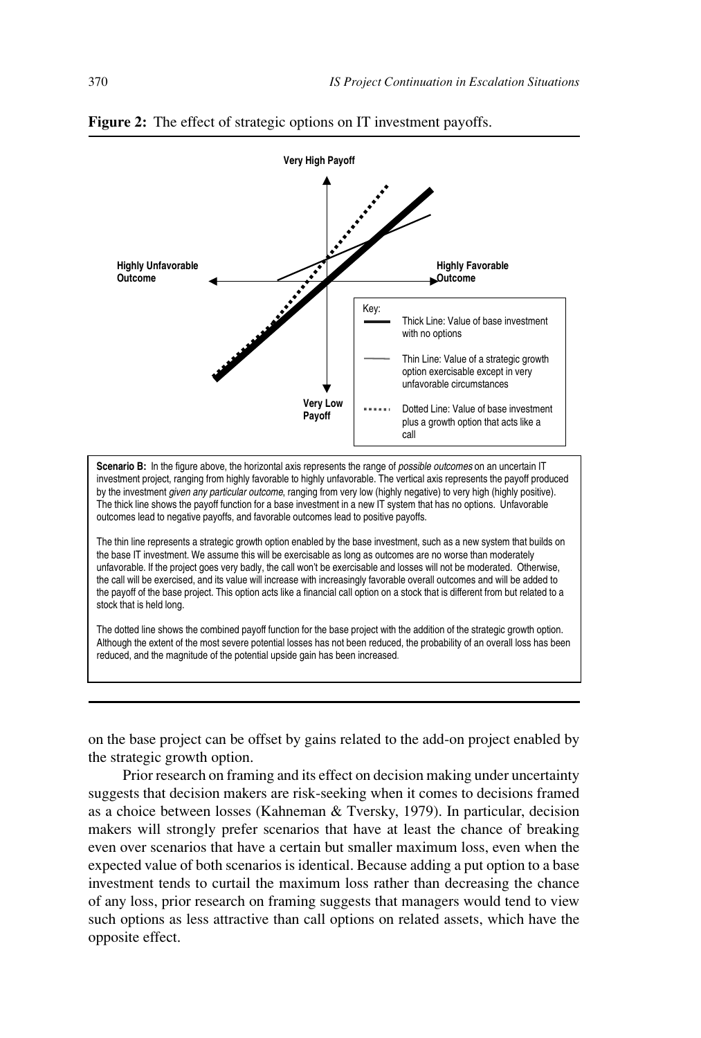

**Figure 2:** The effect of strategic options on IT investment payoffs.

on the base project can be offset by gains related to the add-on project enabled by the strategic growth option.

Prior research on framing and its effect on decision making under uncertainty suggests that decision makers are risk-seeking when it comes to decisions framed as a choice between losses (Kahneman & Tversky, 1979). In particular, decision makers will strongly prefer scenarios that have at least the chance of breaking even over scenarios that have a certain but smaller maximum loss, even when the expected value of both scenarios is identical. Because adding a put option to a base investment tends to curtail the maximum loss rather than decreasing the chance of any loss, prior research on framing suggests that managers would tend to view such options as less attractive than call options on related assets, which have the opposite effect.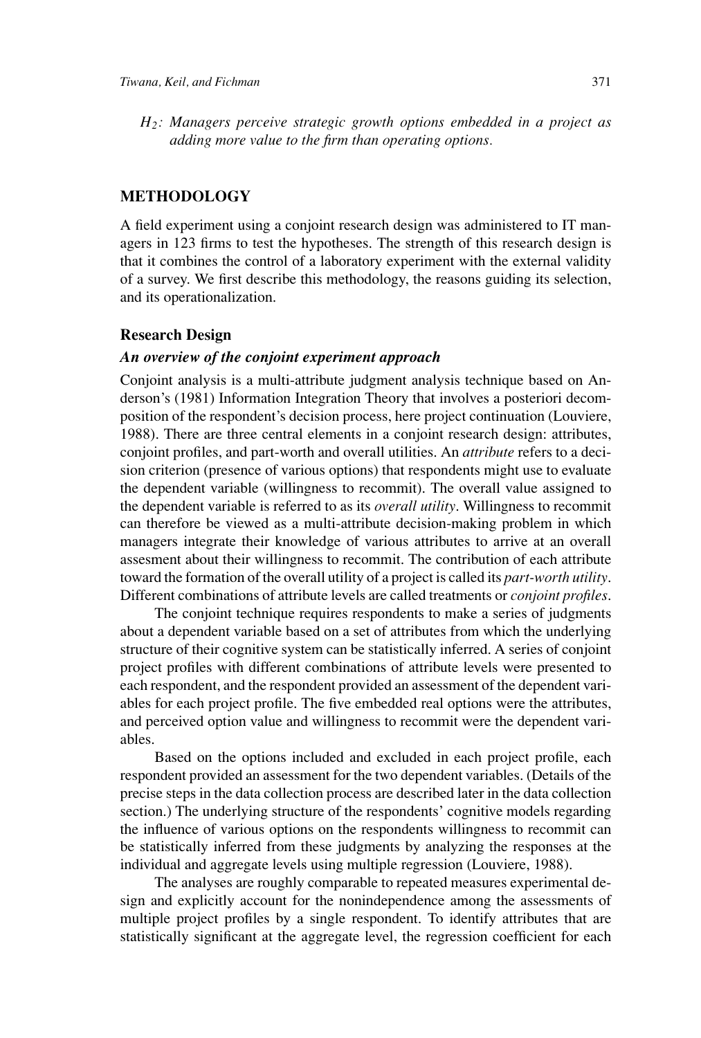*H2: Managers perceive strategic growth options embedded in a project as adding more value to the firm than operating options.*

## **METHODOLOGY**

A field experiment using a conjoint research design was administered to IT managers in 123 firms to test the hypotheses. The strength of this research design is that it combines the control of a laboratory experiment with the external validity of a survey. We first describe this methodology, the reasons guiding its selection, and its operationalization.

#### **Research Design**

#### *An overview of the conjoint experiment approach*

Conjoint analysis is a multi-attribute judgment analysis technique based on Anderson's (1981) Information Integration Theory that involves a posteriori decomposition of the respondent's decision process, here project continuation (Louviere, 1988). There are three central elements in a conjoint research design: attributes, conjoint profiles, and part-worth and overall utilities. An *attribute* refers to a decision criterion (presence of various options) that respondents might use to evaluate the dependent variable (willingness to recommit). The overall value assigned to the dependent variable is referred to as its *overall utility*. Willingness to recommit can therefore be viewed as a multi-attribute decision-making problem in which managers integrate their knowledge of various attributes to arrive at an overall assesment about their willingness to recommit. The contribution of each attribute toward the formation of the overall utility of a project is called its *part-worth utility*. Different combinations of attribute levels are called treatments or *conjoint profiles*.

The conjoint technique requires respondents to make a series of judgments about a dependent variable based on a set of attributes from which the underlying structure of their cognitive system can be statistically inferred. A series of conjoint project profiles with different combinations of attribute levels were presented to each respondent, and the respondent provided an assessment of the dependent variables for each project profile. The five embedded real options were the attributes, and perceived option value and willingness to recommit were the dependent variables.

Based on the options included and excluded in each project profile, each respondent provided an assessment for the two dependent variables. (Details of the precise steps in the data collection process are described later in the data collection section.) The underlying structure of the respondents' cognitive models regarding the influence of various options on the respondents willingness to recommit can be statistically inferred from these judgments by analyzing the responses at the individual and aggregate levels using multiple regression (Louviere, 1988).

The analyses are roughly comparable to repeated measures experimental design and explicitly account for the nonindependence among the assessments of multiple project profiles by a single respondent. To identify attributes that are statistically significant at the aggregate level, the regression coefficient for each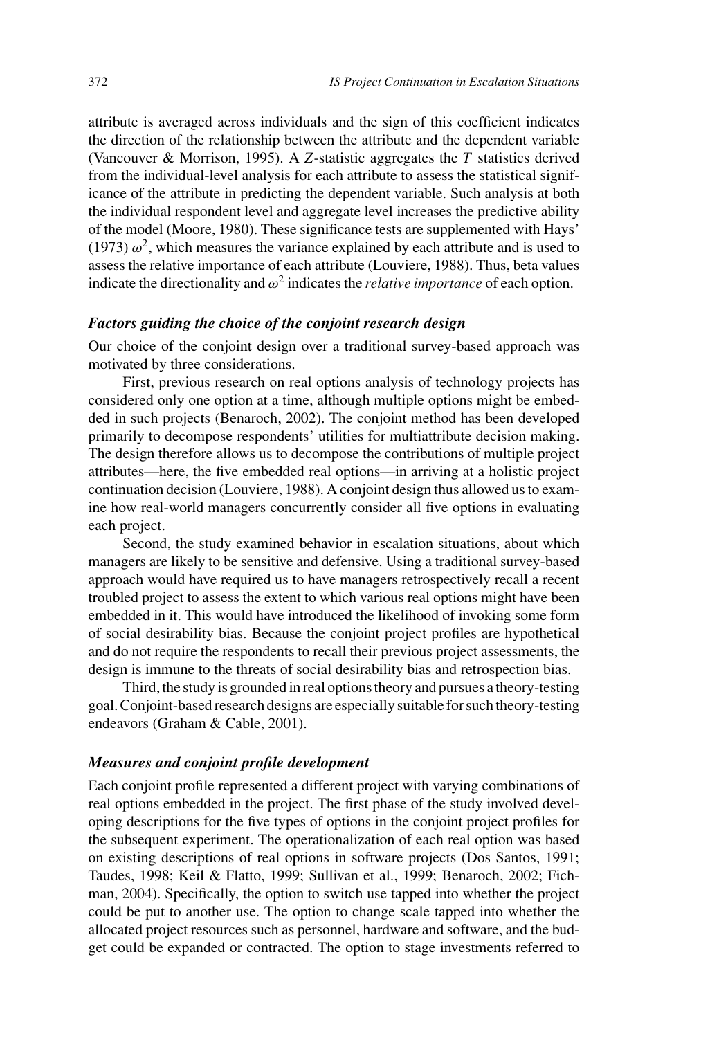attribute is averaged across individuals and the sign of this coefficient indicates the direction of the relationship between the attribute and the dependent variable (Vancouver & Morrison, 1995). A *Z*-statistic aggregates the *T* statistics derived from the individual-level analysis for each attribute to assess the statistical significance of the attribute in predicting the dependent variable. Such analysis at both the individual respondent level and aggregate level increases the predictive ability of the model (Moore, 1980). These significance tests are supplemented with Hays' (1973)  $\omega^2$ , which measures the variance explained by each attribute and is used to assess the relative importance of each attribute (Louviere, 1988). Thus, beta values indicate the directionality and  $\omega^2$  indicates the *relative importance* of each option.

#### *Factors guiding the choice of the conjoint research design*

Our choice of the conjoint design over a traditional survey-based approach was motivated by three considerations.

First, previous research on real options analysis of technology projects has considered only one option at a time, although multiple options might be embedded in such projects (Benaroch, 2002). The conjoint method has been developed primarily to decompose respondents' utilities for multiattribute decision making. The design therefore allows us to decompose the contributions of multiple project attributes—here, the five embedded real options—in arriving at a holistic project continuation decision (Louviere, 1988). A conjoint design thus allowed us to examine how real-world managers concurrently consider all five options in evaluating each project.

Second, the study examined behavior in escalation situations, about which managers are likely to be sensitive and defensive. Using a traditional survey-based approach would have required us to have managers retrospectively recall a recent troubled project to assess the extent to which various real options might have been embedded in it. This would have introduced the likelihood of invoking some form of social desirability bias. Because the conjoint project profiles are hypothetical and do not require the respondents to recall their previous project assessments, the design is immune to the threats of social desirability bias and retrospection bias.

Third, the study is grounded in real options theory and pursues a theory-testing goal. Conjoint-based research designs are especially suitable for such theory-testing endeavors (Graham & Cable, 2001).

#### *Measures and conjoint profile development*

Each conjoint profile represented a different project with varying combinations of real options embedded in the project. The first phase of the study involved developing descriptions for the five types of options in the conjoint project profiles for the subsequent experiment. The operationalization of each real option was based on existing descriptions of real options in software projects (Dos Santos, 1991; Taudes, 1998; Keil & Flatto, 1999; Sullivan et al., 1999; Benaroch, 2002; Fichman, 2004). Specifically, the option to switch use tapped into whether the project could be put to another use. The option to change scale tapped into whether the allocated project resources such as personnel, hardware and software, and the budget could be expanded or contracted. The option to stage investments referred to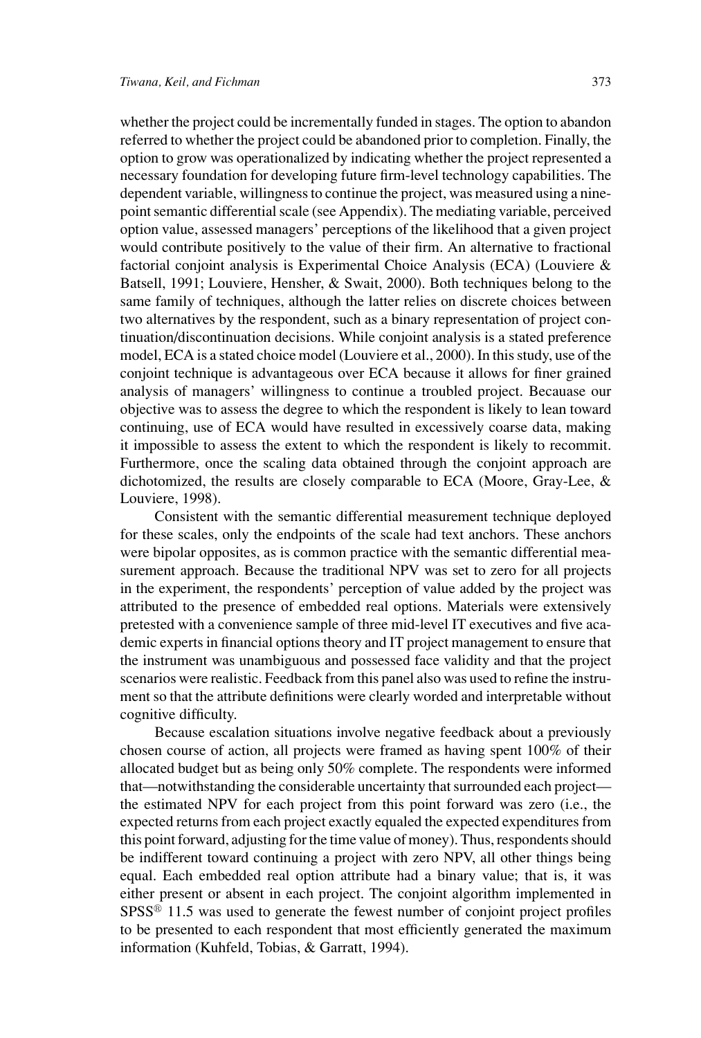whether the project could be incrementally funded in stages. The option to abandon referred to whether the project could be abandoned prior to completion. Finally, the option to grow was operationalized by indicating whether the project represented a necessary foundation for developing future firm-level technology capabilities. The dependent variable, willingness to continue the project, was measured using a ninepoint semantic differential scale (see Appendix). The mediating variable, perceived option value, assessed managers' perceptions of the likelihood that a given project would contribute positively to the value of their firm. An alternative to fractional factorial conjoint analysis is Experimental Choice Analysis (ECA) (Louviere & Batsell, 1991; Louviere, Hensher, & Swait, 2000). Both techniques belong to the same family of techniques, although the latter relies on discrete choices between two alternatives by the respondent, such as a binary representation of project continuation/discontinuation decisions. While conjoint analysis is a stated preference model, ECA is a stated choice model (Louviere et al., 2000). In this study, use of the conjoint technique is advantageous over ECA because it allows for finer grained analysis of managers' willingness to continue a troubled project. Becauase our objective was to assess the degree to which the respondent is likely to lean toward continuing, use of ECA would have resulted in excessively coarse data, making it impossible to assess the extent to which the respondent is likely to recommit. Furthermore, once the scaling data obtained through the conjoint approach are dichotomized, the results are closely comparable to ECA (Moore, Gray-Lee, & Louviere, 1998).

Consistent with the semantic differential measurement technique deployed for these scales, only the endpoints of the scale had text anchors. These anchors were bipolar opposites, as is common practice with the semantic differential measurement approach. Because the traditional NPV was set to zero for all projects in the experiment, the respondents' perception of value added by the project was attributed to the presence of embedded real options. Materials were extensively pretested with a convenience sample of three mid-level IT executives and five academic experts in financial options theory and IT project management to ensure that the instrument was unambiguous and possessed face validity and that the project scenarios were realistic. Feedback from this panel also was used to refine the instrument so that the attribute definitions were clearly worded and interpretable without cognitive difficulty.

Because escalation situations involve negative feedback about a previously chosen course of action, all projects were framed as having spent 100% of their allocated budget but as being only 50% complete. The respondents were informed that—notwithstanding the considerable uncertainty that surrounded each project the estimated NPV for each project from this point forward was zero (i.e., the expected returns from each project exactly equaled the expected expenditures from this point forward, adjusting for the time value of money). Thus, respondents should be indifferent toward continuing a project with zero NPV, all other things being equal. Each embedded real option attribute had a binary value; that is, it was either present or absent in each project. The conjoint algorithm implemented in  $SPSS^{\circledast}$  11.5 was used to generate the fewest number of conjoint project profiles to be presented to each respondent that most efficiently generated the maximum information (Kuhfeld, Tobias, & Garratt, 1994).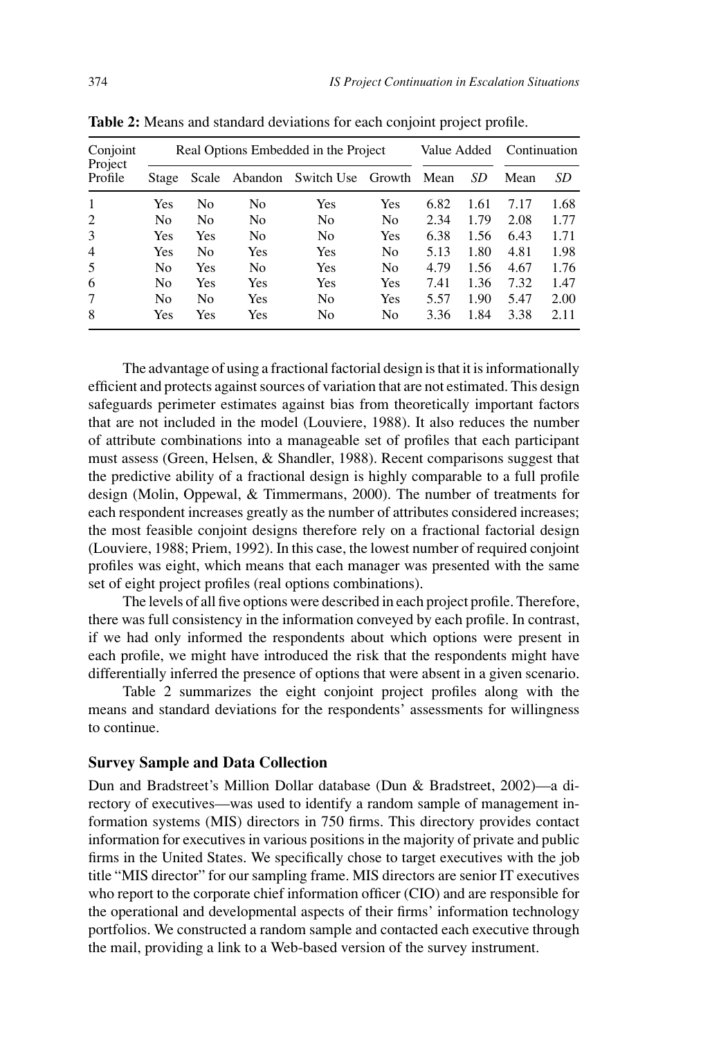| Conjoint           |       |                | Real Options Embedded in the Project | Value Added       |                | Continuation |      |      |      |
|--------------------|-------|----------------|--------------------------------------|-------------------|----------------|--------------|------|------|------|
| Project<br>Profile | Stage | Scale          | Abandon                              | Switch Use Growth |                | Mean         | SD   | Mean | SD   |
| 1                  | Yes   | N <sub>0</sub> | N <sub>0</sub>                       | Yes               | Yes            | 6.82         | 1.61 | 7.17 | 1.68 |
| 2                  | No    | No.            | N <sub>0</sub>                       | N <sub>0</sub>    | N <sub>0</sub> | 2.34         | 1.79 | 2.08 | 1.77 |
| 3                  | Yes   | Yes            | N <sub>0</sub>                       | N <sub>0</sub>    | Yes            | 6.38         | 1.56 | 6.43 | 1.71 |
| $\overline{4}$     | Yes   | N <sub>0</sub> | Yes                                  | <b>Yes</b>        | N <sub>0</sub> | 5.13         | 1.80 | 4.81 | 1.98 |
| 5                  | No    | Yes            | N <sub>0</sub>                       | <b>Yes</b>        | N <sub>0</sub> | 4.79         | 1.56 | 4.67 | 1.76 |
| 6                  | No    | Yes            | Yes                                  | <b>Yes</b>        | Yes            | 7.41         | 1.36 | 7.32 | 1.47 |
| 7                  | No    | N <sub>0</sub> | Yes                                  | N <sub>0</sub>    | Yes            | 5.57         | 1.90 | 5.47 | 2.00 |
| 8                  | Yes   | Yes            | Yes                                  | No                | N <sub>0</sub> | 3.36         | 1.84 | 3.38 | 2.11 |

**Table 2:** Means and standard deviations for each conjoint project profile.

The advantage of using a fractional factorial design is that it is informationally efficient and protects against sources of variation that are not estimated. This design safeguards perimeter estimates against bias from theoretically important factors that are not included in the model (Louviere, 1988). It also reduces the number of attribute combinations into a manageable set of profiles that each participant must assess (Green, Helsen, & Shandler, 1988). Recent comparisons suggest that the predictive ability of a fractional design is highly comparable to a full profile design (Molin, Oppewal, & Timmermans, 2000). The number of treatments for each respondent increases greatly as the number of attributes considered increases; the most feasible conjoint designs therefore rely on a fractional factorial design (Louviere, 1988; Priem, 1992). In this case, the lowest number of required conjoint profiles was eight, which means that each manager was presented with the same set of eight project profiles (real options combinations).

The levels of all five options were described in each project profile. Therefore, there was full consistency in the information conveyed by each profile. In contrast, if we had only informed the respondents about which options were present in each profile, we might have introduced the risk that the respondents might have differentially inferred the presence of options that were absent in a given scenario.

Table 2 summarizes the eight conjoint project profiles along with the means and standard deviations for the respondents' assessments for willingness to continue.

## **Survey Sample and Data Collection**

Dun and Bradstreet's Million Dollar database (Dun & Bradstreet, 2002)—a directory of executives—was used to identify a random sample of management information systems (MIS) directors in 750 firms. This directory provides contact information for executives in various positions in the majority of private and public firms in the United States. We specifically chose to target executives with the job title "MIS director" for our sampling frame. MIS directors are senior IT executives who report to the corporate chief information officer (CIO) and are responsible for the operational and developmental aspects of their firms' information technology portfolios. We constructed a random sample and contacted each executive through the mail, providing a link to a Web-based version of the survey instrument.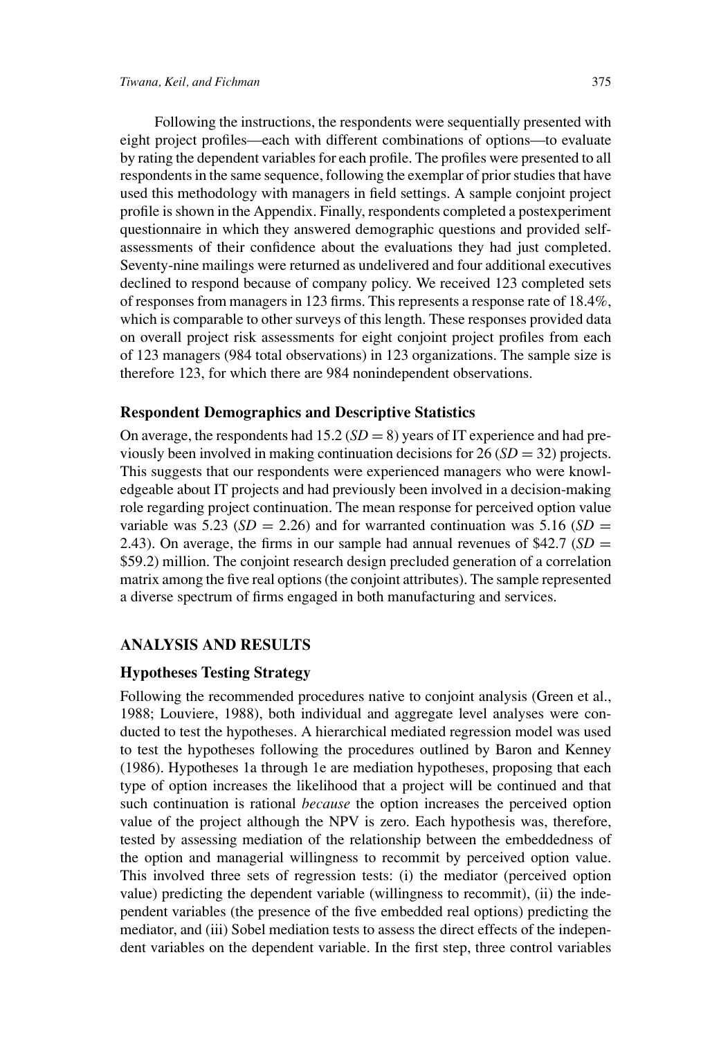Following the instructions, the respondents were sequentially presented with eight project profiles—each with different combinations of options—to evaluate by rating the dependent variables for each profile. The profiles were presented to all respondents in the same sequence, following the exemplar of prior studies that have used this methodology with managers in field settings. A sample conjoint project profile is shown in the Appendix. Finally, respondents completed a postexperiment questionnaire in which they answered demographic questions and provided selfassessments of their confidence about the evaluations they had just completed. Seventy-nine mailings were returned as undelivered and four additional executives declined to respond because of company policy. We received 123 completed sets of responses from managers in 123 firms. This represents a response rate of 18.4%, which is comparable to other surveys of this length. These responses provided data on overall project risk assessments for eight conjoint project profiles from each of 123 managers (984 total observations) in 123 organizations. The sample size is therefore 123, for which there are 984 nonindependent observations.

## **Respondent Demographics and Descriptive Statistics**

On average, the respondents had  $15.2$  ( $SD = 8$ ) years of IT experience and had previously been involved in making continuation decisions for 26 (*SD* = 32) projects. This suggests that our respondents were experienced managers who were knowledgeable about IT projects and had previously been involved in a decision-making role regarding project continuation. The mean response for perceived option value variable was 5.23 ( $SD = 2.26$ ) and for warranted continuation was 5.16 ( $SD = 2.26$ ) 2.43). On average, the firms in our sample had annual revenues of  $$42.7$  (*SD* = \$59.2) million. The conjoint research design precluded generation of a correlation matrix among the five real options (the conjoint attributes). The sample represented a diverse spectrum of firms engaged in both manufacturing and services.

## **ANALYSIS AND RESULTS**

## **Hypotheses Testing Strategy**

Following the recommended procedures native to conjoint analysis (Green et al., 1988; Louviere, 1988), both individual and aggregate level analyses were conducted to test the hypotheses. A hierarchical mediated regression model was used to test the hypotheses following the procedures outlined by Baron and Kenney (1986). Hypotheses 1a through 1e are mediation hypotheses, proposing that each type of option increases the likelihood that a project will be continued and that such continuation is rational *because* the option increases the perceived option value of the project although the NPV is zero. Each hypothesis was, therefore, tested by assessing mediation of the relationship between the embeddedness of the option and managerial willingness to recommit by perceived option value. This involved three sets of regression tests: (i) the mediator (perceived option value) predicting the dependent variable (willingness to recommit), (ii) the independent variables (the presence of the five embedded real options) predicting the mediator, and (iii) Sobel mediation tests to assess the direct effects of the independent variables on the dependent variable. In the first step, three control variables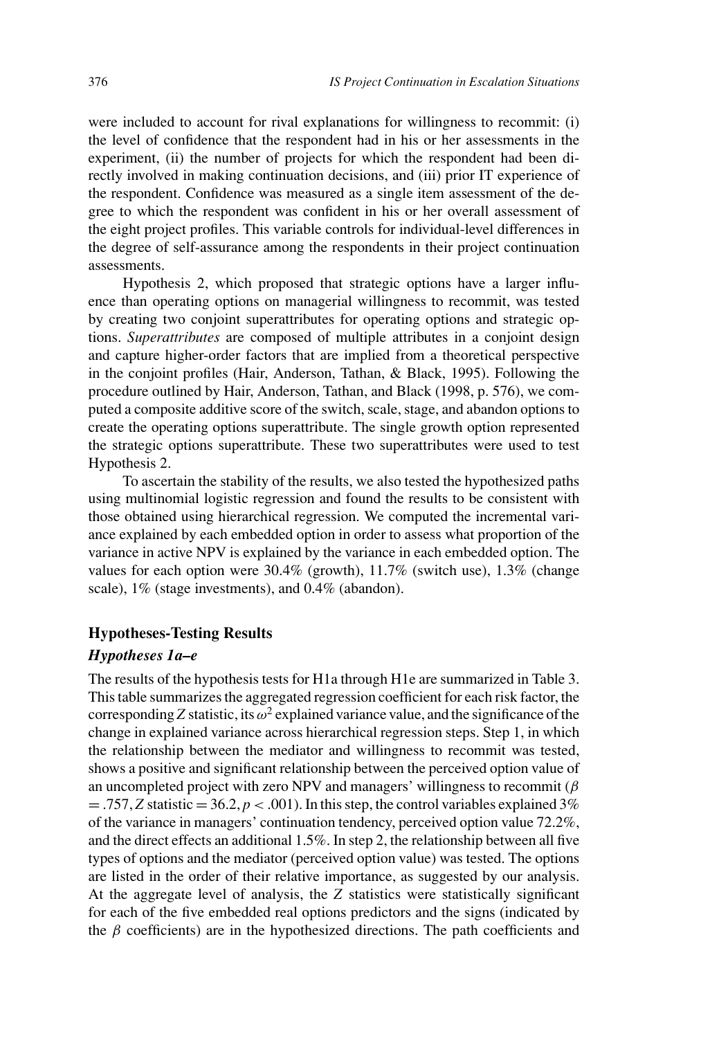were included to account for rival explanations for willingness to recommit: (i) the level of confidence that the respondent had in his or her assessments in the experiment, (ii) the number of projects for which the respondent had been directly involved in making continuation decisions, and (iii) prior IT experience of the respondent. Confidence was measured as a single item assessment of the degree to which the respondent was confident in his or her overall assessment of the eight project profiles. This variable controls for individual-level differences in the degree of self-assurance among the respondents in their project continuation assessments.

Hypothesis 2, which proposed that strategic options have a larger influence than operating options on managerial willingness to recommit, was tested by creating two conjoint superattributes for operating options and strategic options. *Superattributes* are composed of multiple attributes in a conjoint design and capture higher-order factors that are implied from a theoretical perspective in the conjoint profiles (Hair, Anderson, Tathan, & Black, 1995). Following the procedure outlined by Hair, Anderson, Tathan, and Black (1998, p. 576), we computed a composite additive score of the switch, scale, stage, and abandon options to create the operating options superattribute. The single growth option represented the strategic options superattribute. These two superattributes were used to test Hypothesis 2.

To ascertain the stability of the results, we also tested the hypothesized paths using multinomial logistic regression and found the results to be consistent with those obtained using hierarchical regression. We computed the incremental variance explained by each embedded option in order to assess what proportion of the variance in active NPV is explained by the variance in each embedded option. The values for each option were 30.4% (growth), 11.7% (switch use), 1.3% (change scale), 1% (stage investments), and 0.4% (abandon).

## **Hypotheses-Testing Results**

## *Hypotheses 1a–e*

The results of the hypothesis tests for H1a through H1e are summarized in Table 3. This table summarizes the aggregated regression coefficient for each risk factor, the corresponding Z statistic, its  $\omega^2$  explained variance value, and the significance of the change in explained variance across hierarchical regression steps. Step 1, in which the relationship between the mediator and willingness to recommit was tested, shows a positive and significant relationship between the perceived option value of an uncompleted project with zero NPV and managers' willingness to recommit ( $\beta$ )  $=$  .757, *Z* statistic  $=$  36.2, *p* < .001). In this step, the control variables explained 3% of the variance in managers' continuation tendency, perceived option value 72.2%, and the direct effects an additional 1.5%. In step 2, the relationship between all five types of options and the mediator (perceived option value) was tested. The options are listed in the order of their relative importance, as suggested by our analysis. At the aggregate level of analysis, the *Z* statistics were statistically significant for each of the five embedded real options predictors and the signs (indicated by the  $\beta$  coefficients) are in the hypothesized directions. The path coefficients and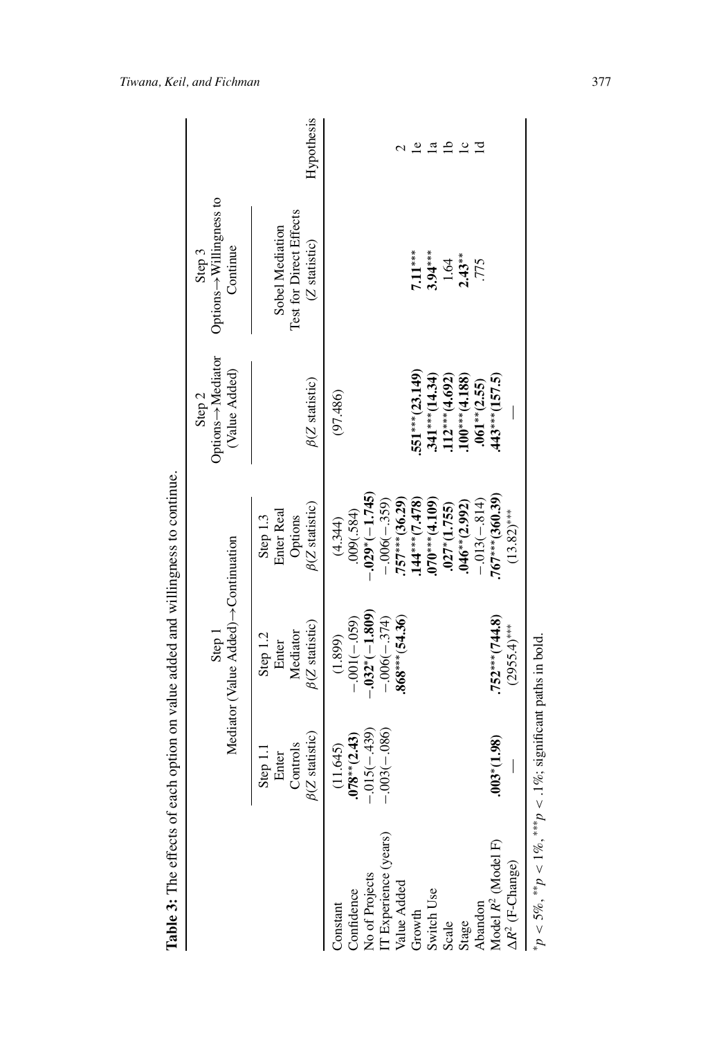| <b>Table 3:</b> The effects of each option on value added and willingness to continue.                                                                                                    |                                                                                          |                                                                                                                          |                                                                                                                                                                                                                         |                                                                                                                               |                                                             |                             |
|-------------------------------------------------------------------------------------------------------------------------------------------------------------------------------------------|------------------------------------------------------------------------------------------|--------------------------------------------------------------------------------------------------------------------------|-------------------------------------------------------------------------------------------------------------------------------------------------------------------------------------------------------------------------|-------------------------------------------------------------------------------------------------------------------------------|-------------------------------------------------------------|-----------------------------|
|                                                                                                                                                                                           |                                                                                          | Mediator (Value Added) $\rightarrow$ Continuation<br>Step 1                                                              |                                                                                                                                                                                                                         | Options->Mediator<br>(Value Added)<br>Step 2                                                                                  | Options  ightarrow Willingness to<br>Continue<br>Step 3     |                             |
|                                                                                                                                                                                           | $\beta$ (Z statistic)<br>Controls<br>Step 1.1<br>Enter                                   | $\beta$ (Z statistic)<br>Mediator<br>Step 1.2<br>Enter                                                                   | $\beta$ (Z statistic)<br>Enter Real<br>Step 1.3<br>Options                                                                                                                                                              | $\beta(Z\;\mathrm{statistic})$                                                                                                | Test for Direct Effects<br>Sobel Mediation<br>(Z statistic) | Hypothesis                  |
| No of Projects<br>IT Experience (years)<br>Model $R^2$ (Model F)<br>$\Delta R^2$ (F-Change)<br>Value Added<br>Confidence<br>Switch Use<br>Abandon<br>Constant<br>Growth<br>Stage<br>Scale | $(-439)$<br>$-.086$<br>$.078**$ (2.43)<br>$.003*(1.98)$<br>(11.645)<br>$-015(-$<br>.003( | $-.032*(-1.809)$<br>$-0.06(-374)$<br>$868***$ (54.36)<br>$.752***$ (744.8)<br>$-.001(-.059)$<br>$(2955.4)***$<br>(1.899) | $-.029*(-1.745)$<br>$767***$ (360.39)<br>$070***$ (4.109)<br>$757***$ $(36.29)$<br>$144***$ (7.478)<br>$-0.006(-359)$<br>$-.013(-.814)$<br>$.046**$ (2.992)<br>$.027*(1.755)$<br>.009(.584)<br>$(13.82)$ ***<br>(4.344) | 551***(23.149)<br>$.341***$ (14.34)<br>.112*** (4.692)<br>$.100***$ (4.188)<br>$443***(157.5)$<br>$.061**$ (2.55)<br>(97.486) | 7.11***<br>$3.94***$<br>$2.43**$<br>$1.64$<br>.775          | $\mathbf{a}$<br>$\tilde{c}$ |
| * $p < 5\%$ , ** $p < 1\%$ , *** $p < .1\%$ ; significant paths in bold.                                                                                                                  |                                                                                          |                                                                                                                          |                                                                                                                                                                                                                         |                                                                                                                               |                                                             |                             |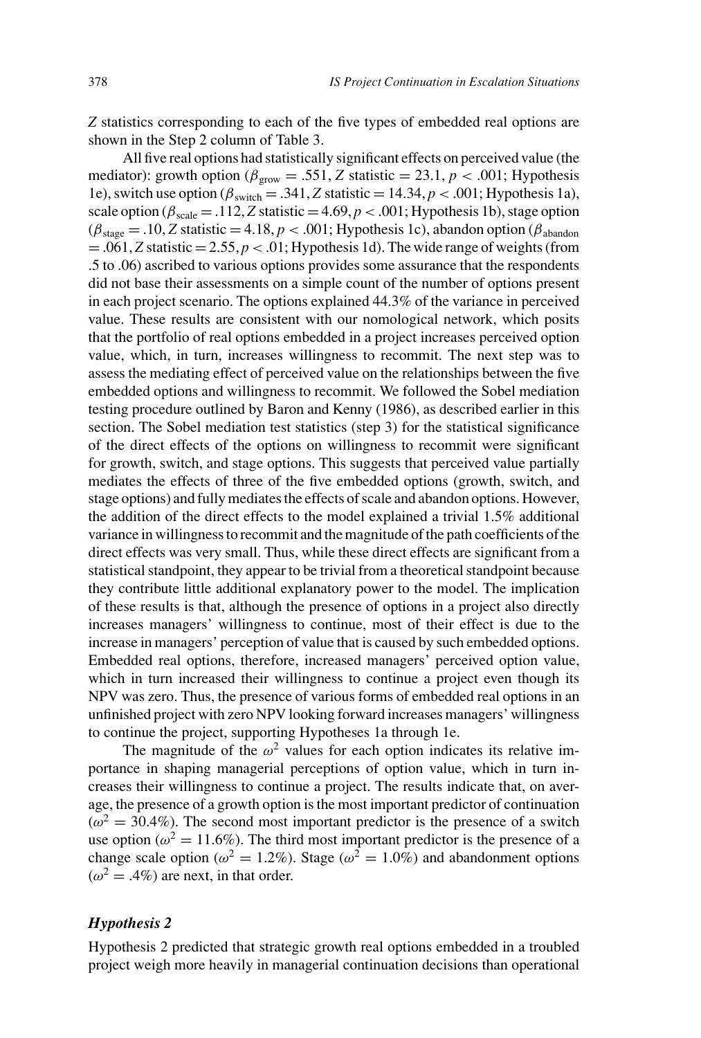*Z* statistics corresponding to each of the five types of embedded real options are shown in the Step 2 column of Table 3.

All five real options had statistically significant effects on perceived value (the mediator): growth option ( $\beta_{\text{grow}} = .551$ , *Z* statistic = 23.1, *p* < .001; Hypothesis 1e), switch use option  $(\beta_{switch} = .341, Z \text{ statistic} = 14.34, p < .001; \text{Hypothesis 1a})$ , scale option ( $\beta_{scale} = .112$ , *Z* statistic = 4.69,  $p < .001$ ; Hypothesis 1b), stage option  $(\beta_{\text{stage}} = .10, Z \text{ statistic} = 4.18, p < .001;$  Hypothesis 1c), abandon option ( $\beta_{\text{abandon}}$ )  $= .061$ , *Z* statistic  $= 2.55$ ,  $p < .01$ ; Hypothesis 1d). The wide range of weights (from .5 to .06) ascribed to various options provides some assurance that the respondents did not base their assessments on a simple count of the number of options present in each project scenario. The options explained 44.3% of the variance in perceived value. These results are consistent with our nomological network, which posits that the portfolio of real options embedded in a project increases perceived option value, which, in turn, increases willingness to recommit. The next step was to assess the mediating effect of perceived value on the relationships between the five embedded options and willingness to recommit. We followed the Sobel mediation testing procedure outlined by Baron and Kenny (1986), as described earlier in this section. The Sobel mediation test statistics (step 3) for the statistical significance of the direct effects of the options on willingness to recommit were significant for growth, switch, and stage options. This suggests that perceived value partially mediates the effects of three of the five embedded options (growth, switch, and stage options) and fully mediates the effects of scale and abandon options. However, the addition of the direct effects to the model explained a trivial 1.5% additional variance in willingness to recommit and the magnitude of the path coefficients of the direct effects was very small. Thus, while these direct effects are significant from a statistical standpoint, they appear to be trivial from a theoretical standpoint because they contribute little additional explanatory power to the model. The implication of these results is that, although the presence of options in a project also directly increases managers' willingness to continue, most of their effect is due to the increase in managers' perception of value that is caused by such embedded options. Embedded real options, therefore, increased managers' perceived option value, which in turn increased their willingness to continue a project even though its NPV was zero. Thus, the presence of various forms of embedded real options in an unfinished project with zero NPV looking forward increases managers' willingness to continue the project, supporting Hypotheses 1a through 1e.

The magnitude of the  $\omega^2$  values for each option indicates its relative importance in shaping managerial perceptions of option value, which in turn increases their willingness to continue a project. The results indicate that, on average, the presence of a growth option is the most important predictor of continuation  $(\omega^2 = 30.4\%)$ . The second most important predictor is the presence of a switch use option ( $\omega^2 = 11.6\%$ ). The third most important predictor is the presence of a change scale option ( $\omega^2 = 1.2\%$ ). Stage ( $\omega^2 = 1.0\%$ ) and abandonment options  $(\omega^2 = .4\%)$  are next, in that order.

# *Hypothesis 2*

Hypothesis 2 predicted that strategic growth real options embedded in a troubled project weigh more heavily in managerial continuation decisions than operational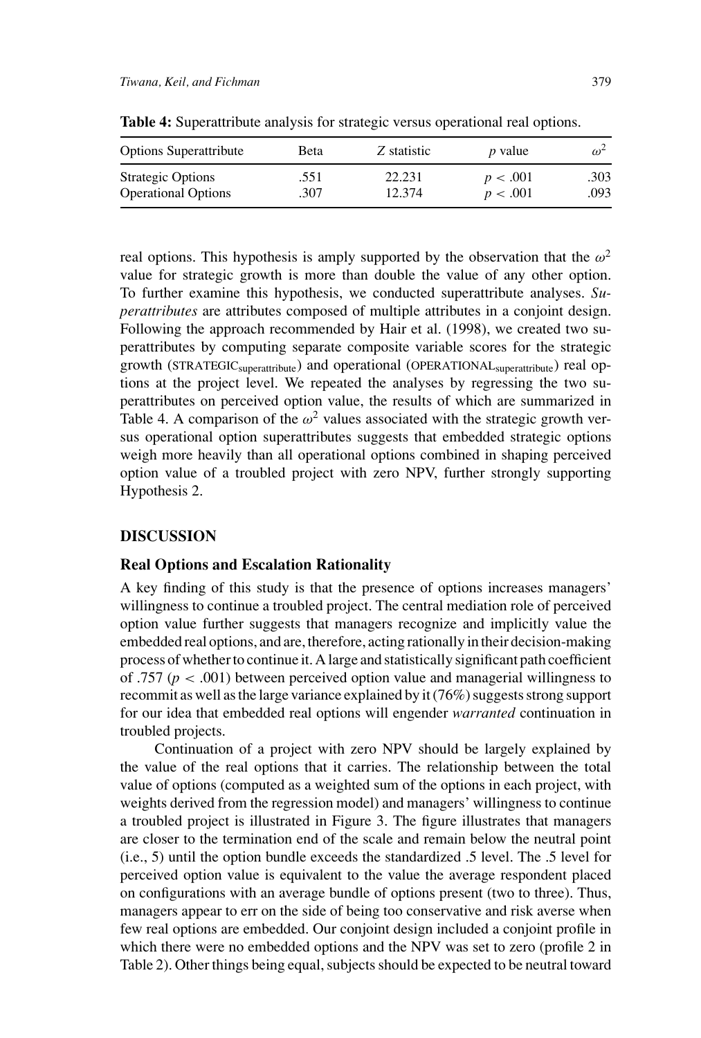| <b>Options Superattribute</b> | <b>Beta</b> | Z statistic | <i>p</i> value | $\omega^2$ |
|-------------------------------|-------------|-------------|----------------|------------|
| <b>Strategic Options</b>      | .551        | 22.231      | p < .001       | .303       |
| <b>Operational Options</b>    | .307        | 12.374      | p < .001       | .093       |

**Table 4:** Superattribute analysis for strategic versus operational real options.

real options. This hypothesis is amply supported by the observation that the  $\omega^2$ value for strategic growth is more than double the value of any other option. To further examine this hypothesis, we conducted superattribute analyses. *Superattributes* are attributes composed of multiple attributes in a conjoint design. Following the approach recommended by Hair et al. (1998), we created two superattributes by computing separate composite variable scores for the strategic growth (STRATEGIC<sub>superattribute</sub>) and operational (OPERATIONAL<sub>superattribute</sub>) real options at the project level. We repeated the analyses by regressing the two superattributes on perceived option value, the results of which are summarized in Table 4. A comparison of the  $\omega^2$  values associated with the strategic growth versus operational option superattributes suggests that embedded strategic options weigh more heavily than all operational options combined in shaping perceived option value of a troubled project with zero NPV, further strongly supporting Hypothesis 2.

# **DISCUSSION**

## **Real Options and Escalation Rationality**

A key finding of this study is that the presence of options increases managers' willingness to continue a troubled project. The central mediation role of perceived option value further suggests that managers recognize and implicitly value the embedded real options, and are, therefore, acting rationally in their decision-making process of whether to continue it. A large and statistically significant path coefficient of .757 ( $p < .001$ ) between perceived option value and managerial willingness to recommit as well as the large variance explained by it (76%) suggests strong support for our idea that embedded real options will engender *warranted* continuation in troubled projects.

Continuation of a project with zero NPV should be largely explained by the value of the real options that it carries. The relationship between the total value of options (computed as a weighted sum of the options in each project, with weights derived from the regression model) and managers' willingness to continue a troubled project is illustrated in Figure 3. The figure illustrates that managers are closer to the termination end of the scale and remain below the neutral point (i.e., 5) until the option bundle exceeds the standardized .5 level. The .5 level for perceived option value is equivalent to the value the average respondent placed on configurations with an average bundle of options present (two to three). Thus, managers appear to err on the side of being too conservative and risk averse when few real options are embedded. Our conjoint design included a conjoint profile in which there were no embedded options and the NPV was set to zero (profile 2 in Table 2). Other things being equal, subjects should be expected to be neutral toward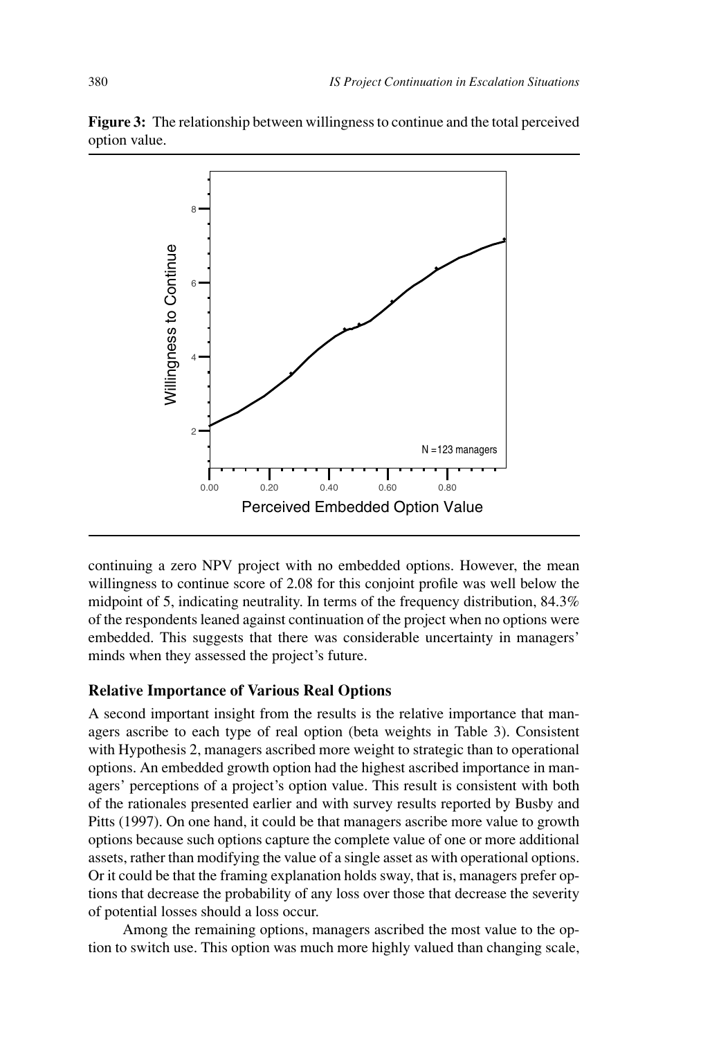

**Figure 3:** The relationship between willingness to continue and the total perceived option value.

continuing a zero NPV project with no embedded options. However, the mean willingness to continue score of 2.08 for this conjoint profile was well below the midpoint of 5, indicating neutrality. In terms of the frequency distribution, 84.3% of the respondents leaned against continuation of the project when no options were embedded. This suggests that there was considerable uncertainty in managers' minds when they assessed the project's future.

## **Relative Importance of Various Real Options**

A second important insight from the results is the relative importance that managers ascribe to each type of real option (beta weights in Table 3). Consistent with Hypothesis 2, managers ascribed more weight to strategic than to operational options. An embedded growth option had the highest ascribed importance in managers' perceptions of a project's option value. This result is consistent with both of the rationales presented earlier and with survey results reported by Busby and Pitts (1997). On one hand, it could be that managers ascribe more value to growth options because such options capture the complete value of one or more additional assets, rather than modifying the value of a single asset as with operational options. Or it could be that the framing explanation holds sway, that is, managers prefer options that decrease the probability of any loss over those that decrease the severity of potential losses should a loss occur.

Among the remaining options, managers ascribed the most value to the option to switch use. This option was much more highly valued than changing scale,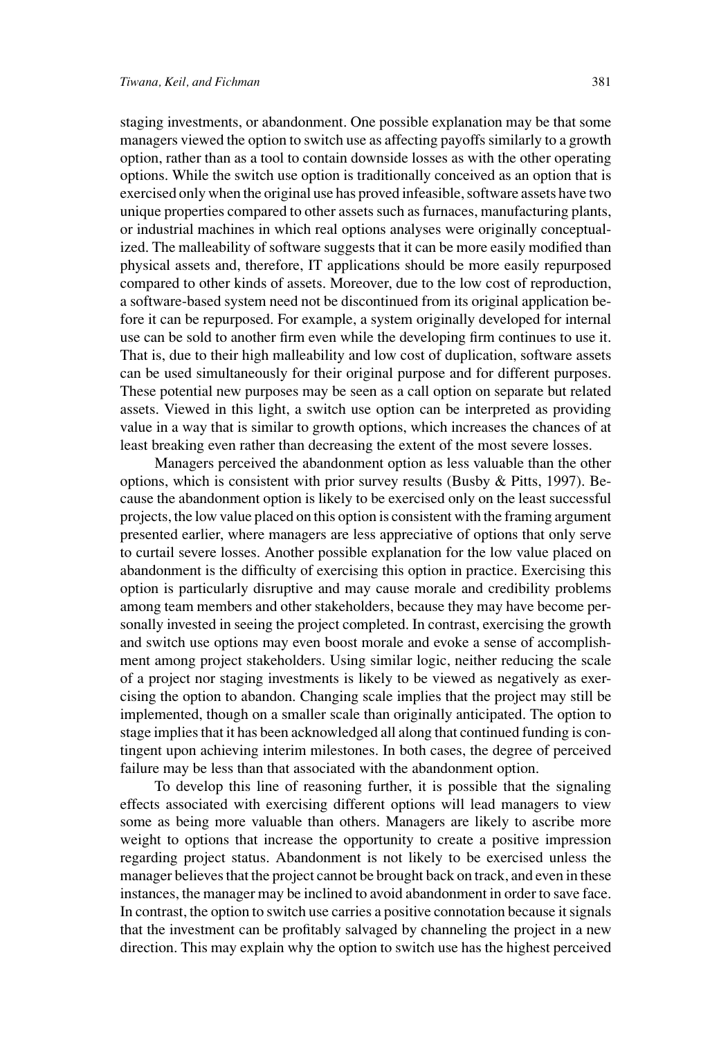staging investments, or abandonment. One possible explanation may be that some managers viewed the option to switch use as affecting payoffs similarly to a growth option, rather than as a tool to contain downside losses as with the other operating options. While the switch use option is traditionally conceived as an option that is exercised only when the original use has proved infeasible, software assets have two unique properties compared to other assets such as furnaces, manufacturing plants, or industrial machines in which real options analyses were originally conceptualized. The malleability of software suggests that it can be more easily modified than physical assets and, therefore, IT applications should be more easily repurposed compared to other kinds of assets. Moreover, due to the low cost of reproduction, a software-based system need not be discontinued from its original application before it can be repurposed. For example, a system originally developed for internal use can be sold to another firm even while the developing firm continues to use it. That is, due to their high malleability and low cost of duplication, software assets can be used simultaneously for their original purpose and for different purposes. These potential new purposes may be seen as a call option on separate but related assets. Viewed in this light, a switch use option can be interpreted as providing value in a way that is similar to growth options, which increases the chances of at least breaking even rather than decreasing the extent of the most severe losses.

Managers perceived the abandonment option as less valuable than the other options, which is consistent with prior survey results (Busby & Pitts, 1997). Because the abandonment option is likely to be exercised only on the least successful projects, the low value placed on this option is consistent with the framing argument presented earlier, where managers are less appreciative of options that only serve to curtail severe losses. Another possible explanation for the low value placed on abandonment is the difficulty of exercising this option in practice. Exercising this option is particularly disruptive and may cause morale and credibility problems among team members and other stakeholders, because they may have become personally invested in seeing the project completed. In contrast, exercising the growth and switch use options may even boost morale and evoke a sense of accomplishment among project stakeholders. Using similar logic, neither reducing the scale of a project nor staging investments is likely to be viewed as negatively as exercising the option to abandon. Changing scale implies that the project may still be implemented, though on a smaller scale than originally anticipated. The option to stage implies that it has been acknowledged all along that continued funding is contingent upon achieving interim milestones. In both cases, the degree of perceived failure may be less than that associated with the abandonment option.

To develop this line of reasoning further, it is possible that the signaling effects associated with exercising different options will lead managers to view some as being more valuable than others. Managers are likely to ascribe more weight to options that increase the opportunity to create a positive impression regarding project status. Abandonment is not likely to be exercised unless the manager believes that the project cannot be brought back on track, and even in these instances, the manager may be inclined to avoid abandonment in order to save face. In contrast, the option to switch use carries a positive connotation because it signals that the investment can be profitably salvaged by channeling the project in a new direction. This may explain why the option to switch use has the highest perceived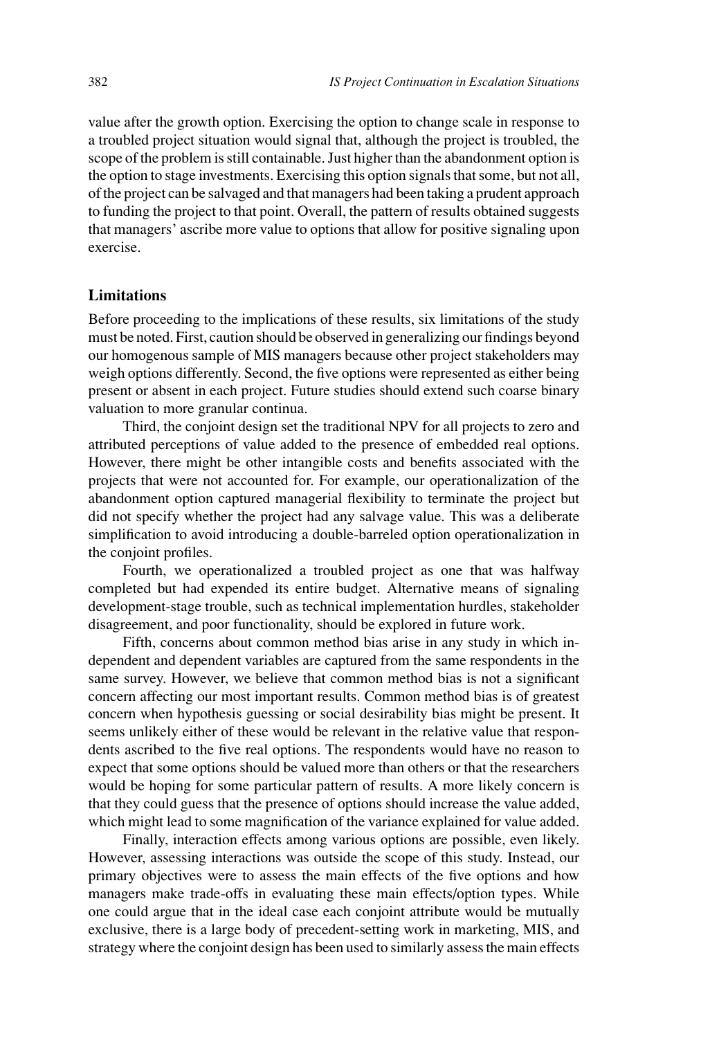value after the growth option. Exercising the option to change scale in response to a troubled project situation would signal that, although the project is troubled, the scope of the problem is still containable. Just higher than the abandonment option is the option to stage investments. Exercising this option signals that some, but not all, of the project can be salvaged and that managers had been taking a prudent approach to funding the project to that point. Overall, the pattern of results obtained suggests that managers' ascribe more value to options that allow for positive signaling upon exercise.

#### **Limitations**

Before proceeding to the implications of these results, six limitations of the study must be noted. First, caution should be observed in generalizing our findings beyond our homogenous sample of MIS managers because other project stakeholders may weigh options differently. Second, the five options were represented as either being present or absent in each project. Future studies should extend such coarse binary valuation to more granular continua.

Third, the conjoint design set the traditional NPV for all projects to zero and attributed perceptions of value added to the presence of embedded real options. However, there might be other intangible costs and benefits associated with the projects that were not accounted for. For example, our operationalization of the abandonment option captured managerial flexibility to terminate the project but did not specify whether the project had any salvage value. This was a deliberate simplification to avoid introducing a double-barreled option operationalization in the conjoint profiles.

Fourth, we operationalized a troubled project as one that was halfway completed but had expended its entire budget. Alternative means of signaling development-stage trouble, such as technical implementation hurdles, stakeholder disagreement, and poor functionality, should be explored in future work.

Fifth, concerns about common method bias arise in any study in which independent and dependent variables are captured from the same respondents in the same survey. However, we believe that common method bias is not a significant concern affecting our most important results. Common method bias is of greatest concern when hypothesis guessing or social desirability bias might be present. It seems unlikely either of these would be relevant in the relative value that respondents ascribed to the five real options. The respondents would have no reason to expect that some options should be valued more than others or that the researchers would be hoping for some particular pattern of results. A more likely concern is that they could guess that the presence of options should increase the value added, which might lead to some magnification of the variance explained for value added.

Finally, interaction effects among various options are possible, even likely. However, assessing interactions was outside the scope of this study. Instead, our primary objectives were to assess the main effects of the five options and how managers make trade-offs in evaluating these main effects/option types. While one could argue that in the ideal case each conjoint attribute would be mutually exclusive, there is a large body of precedent-setting work in marketing, MIS, and strategy where the conjoint design has been used to similarly assess the main effects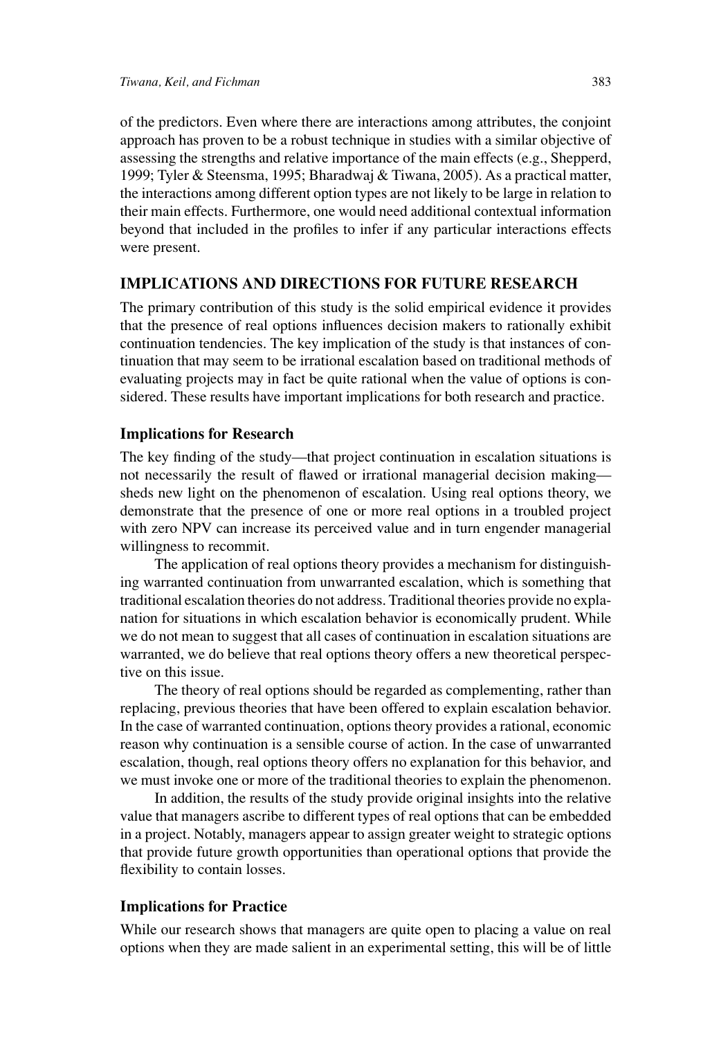of the predictors. Even where there are interactions among attributes, the conjoint approach has proven to be a robust technique in studies with a similar objective of assessing the strengths and relative importance of the main effects (e.g., Shepperd, 1999; Tyler & Steensma, 1995; Bharadwaj & Tiwana, 2005). As a practical matter, the interactions among different option types are not likely to be large in relation to their main effects. Furthermore, one would need additional contextual information beyond that included in the profiles to infer if any particular interactions effects were present.

# **IMPLICATIONS AND DIRECTIONS FOR FUTURE RESEARCH**

The primary contribution of this study is the solid empirical evidence it provides that the presence of real options influences decision makers to rationally exhibit continuation tendencies. The key implication of the study is that instances of continuation that may seem to be irrational escalation based on traditional methods of evaluating projects may in fact be quite rational when the value of options is considered. These results have important implications for both research and practice.

## **Implications for Research**

The key finding of the study—that project continuation in escalation situations is not necessarily the result of flawed or irrational managerial decision making sheds new light on the phenomenon of escalation. Using real options theory, we demonstrate that the presence of one or more real options in a troubled project with zero NPV can increase its perceived value and in turn engender managerial willingness to recommit.

The application of real options theory provides a mechanism for distinguishing warranted continuation from unwarranted escalation, which is something that traditional escalation theories do not address. Traditional theories provide no explanation for situations in which escalation behavior is economically prudent. While we do not mean to suggest that all cases of continuation in escalation situations are warranted, we do believe that real options theory offers a new theoretical perspective on this issue.

The theory of real options should be regarded as complementing, rather than replacing, previous theories that have been offered to explain escalation behavior. In the case of warranted continuation, options theory provides a rational, economic reason why continuation is a sensible course of action. In the case of unwarranted escalation, though, real options theory offers no explanation for this behavior, and we must invoke one or more of the traditional theories to explain the phenomenon.

In addition, the results of the study provide original insights into the relative value that managers ascribe to different types of real options that can be embedded in a project. Notably, managers appear to assign greater weight to strategic options that provide future growth opportunities than operational options that provide the flexibility to contain losses.

#### **Implications for Practice**

While our research shows that managers are quite open to placing a value on real options when they are made salient in an experimental setting, this will be of little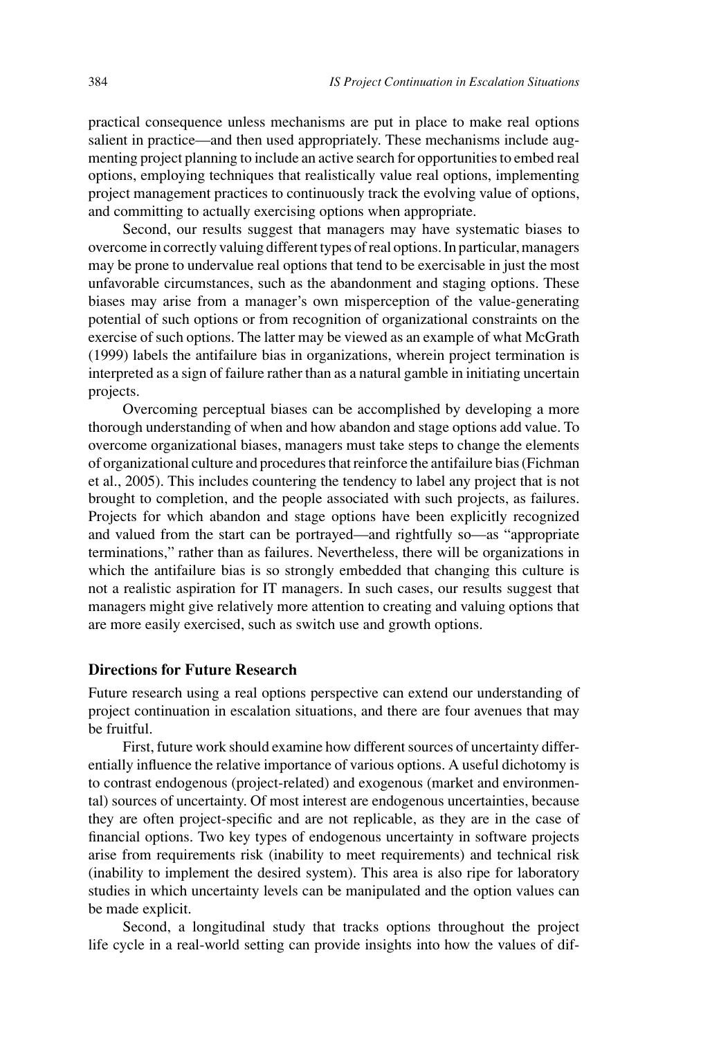practical consequence unless mechanisms are put in place to make real options salient in practice—and then used appropriately. These mechanisms include augmenting project planning to include an active search for opportunities to embed real options, employing techniques that realistically value real options, implementing project management practices to continuously track the evolving value of options, and committing to actually exercising options when appropriate.

Second, our results suggest that managers may have systematic biases to overcome in correctly valuing different types of real options. In particular, managers may be prone to undervalue real options that tend to be exercisable in just the most unfavorable circumstances, such as the abandonment and staging options. These biases may arise from a manager's own misperception of the value-generating potential of such options or from recognition of organizational constraints on the exercise of such options. The latter may be viewed as an example of what McGrath (1999) labels the antifailure bias in organizations, wherein project termination is interpreted as a sign of failure rather than as a natural gamble in initiating uncertain projects.

Overcoming perceptual biases can be accomplished by developing a more thorough understanding of when and how abandon and stage options add value. To overcome organizational biases, managers must take steps to change the elements of organizational culture and procedures that reinforce the antifailure bias (Fichman et al., 2005). This includes countering the tendency to label any project that is not brought to completion, and the people associated with such projects, as failures. Projects for which abandon and stage options have been explicitly recognized and valued from the start can be portrayed—and rightfully so—as "appropriate terminations," rather than as failures. Nevertheless, there will be organizations in which the antifailure bias is so strongly embedded that changing this culture is not a realistic aspiration for IT managers. In such cases, our results suggest that managers might give relatively more attention to creating and valuing options that are more easily exercised, such as switch use and growth options.

#### **Directions for Future Research**

Future research using a real options perspective can extend our understanding of project continuation in escalation situations, and there are four avenues that may be fruitful.

First, future work should examine how different sources of uncertainty differentially influence the relative importance of various options. A useful dichotomy is to contrast endogenous (project-related) and exogenous (market and environmental) sources of uncertainty. Of most interest are endogenous uncertainties, because they are often project-specific and are not replicable, as they are in the case of financial options. Two key types of endogenous uncertainty in software projects arise from requirements risk (inability to meet requirements) and technical risk (inability to implement the desired system). This area is also ripe for laboratory studies in which uncertainty levels can be manipulated and the option values can be made explicit.

Second, a longitudinal study that tracks options throughout the project life cycle in a real-world setting can provide insights into how the values of dif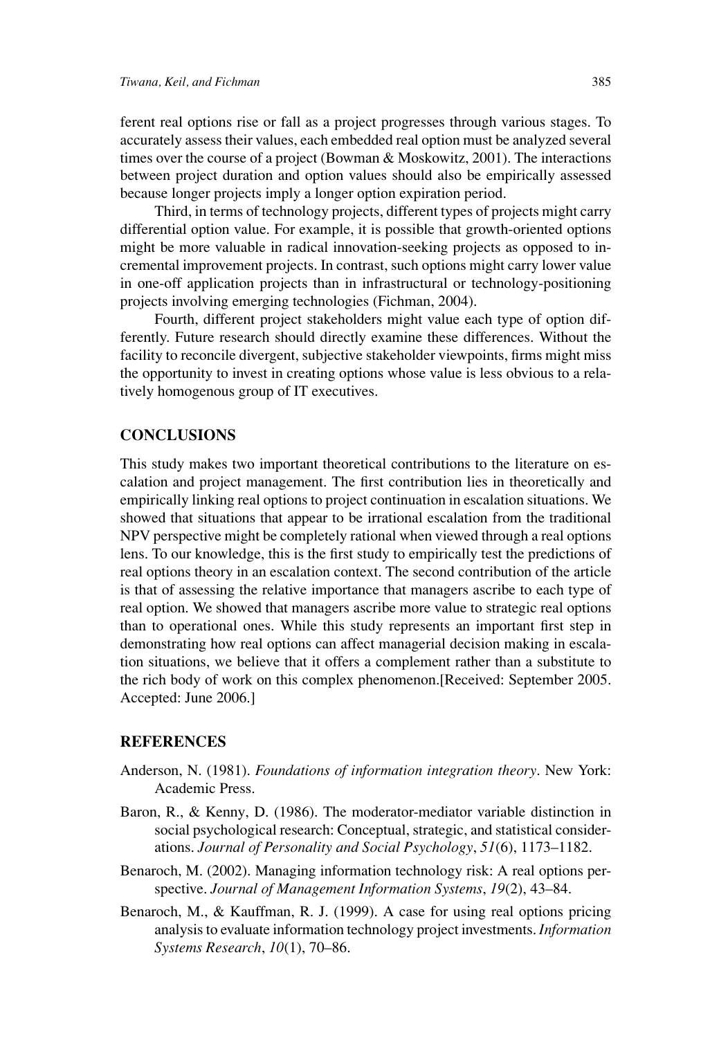ferent real options rise or fall as a project progresses through various stages. To accurately assess their values, each embedded real option must be analyzed several times over the course of a project (Bowman & Moskowitz, 2001). The interactions between project duration and option values should also be empirically assessed because longer projects imply a longer option expiration period.

Third, in terms of technology projects, different types of projects might carry differential option value. For example, it is possible that growth-oriented options might be more valuable in radical innovation-seeking projects as opposed to incremental improvement projects. In contrast, such options might carry lower value in one-off application projects than in infrastructural or technology-positioning projects involving emerging technologies (Fichman, 2004).

Fourth, different project stakeholders might value each type of option differently. Future research should directly examine these differences. Without the facility to reconcile divergent, subjective stakeholder viewpoints, firms might miss the opportunity to invest in creating options whose value is less obvious to a relatively homogenous group of IT executives.

#### **CONCLUSIONS**

This study makes two important theoretical contributions to the literature on escalation and project management. The first contribution lies in theoretically and empirically linking real options to project continuation in escalation situations. We showed that situations that appear to be irrational escalation from the traditional NPV perspective might be completely rational when viewed through a real options lens. To our knowledge, this is the first study to empirically test the predictions of real options theory in an escalation context. The second contribution of the article is that of assessing the relative importance that managers ascribe to each type of real option. We showed that managers ascribe more value to strategic real options than to operational ones. While this study represents an important first step in demonstrating how real options can affect managerial decision making in escalation situations, we believe that it offers a complement rather than a substitute to the rich body of work on this complex phenomenon.[Received: September 2005. Accepted: June 2006.]

## **REFERENCES**

- Anderson, N. (1981). *Foundations of information integration theory*. New York: Academic Press.
- Baron, R., & Kenny, D. (1986). The moderator-mediator variable distinction in social psychological research: Conceptual, strategic, and statistical considerations. *Journal of Personality and Social Psychology*, *51*(6), 1173–1182.
- Benaroch, M. (2002). Managing information technology risk: A real options perspective. *Journal of Management Information Systems*, *19*(2), 43–84.
- Benaroch, M., & Kauffman, R. J. (1999). A case for using real options pricing analysis to evaluate information technology project investments. *Information Systems Research*, *10*(1), 70–86.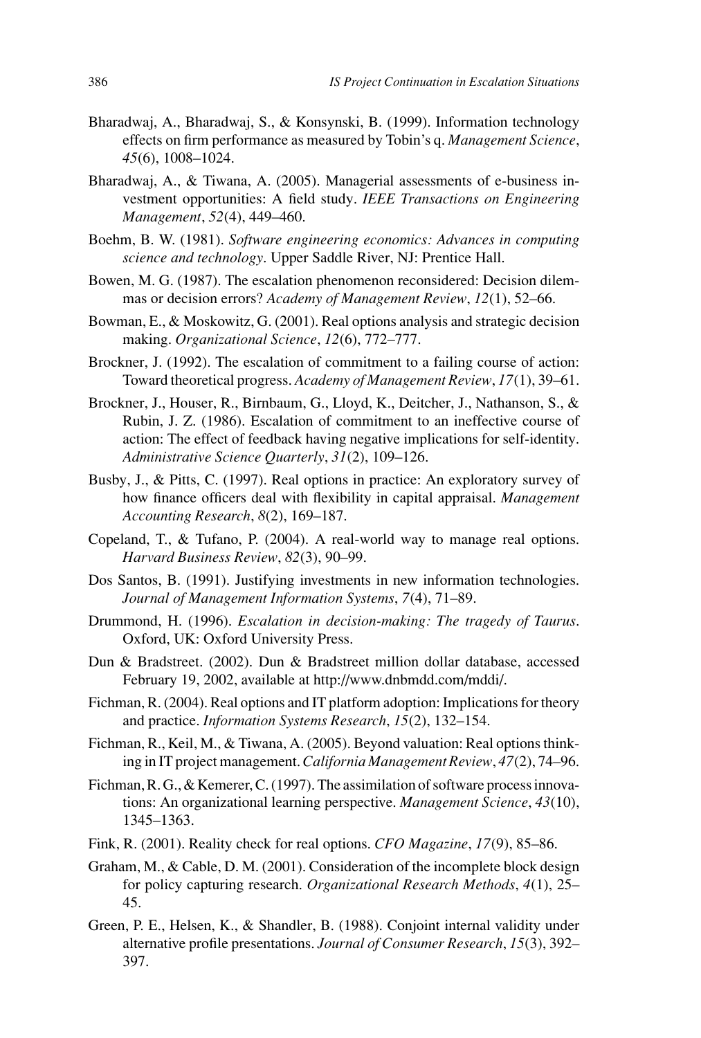- Bharadwaj, A., Bharadwaj, S., & Konsynski, B. (1999). Information technology effects on firm performance as measured by Tobin's q. *Management Science*, *45*(6), 1008–1024.
- Bharadwaj, A., & Tiwana, A. (2005). Managerial assessments of e-business investment opportunities: A field study. *IEEE Transactions on Engineering Management*, *52*(4), 449–460.
- Boehm, B. W. (1981). *Software engineering economics: Advances in computing science and technology*. Upper Saddle River, NJ: Prentice Hall.
- Bowen, M. G. (1987). The escalation phenomenon reconsidered: Decision dilemmas or decision errors? *Academy of Management Review*, *12*(1), 52–66.
- Bowman, E., & Moskowitz, G. (2001). Real options analysis and strategic decision making. *Organizational Science*, *12*(6), 772–777.
- Brockner, J. (1992). The escalation of commitment to a failing course of action: Toward theoretical progress. *Academy of Management Review*, *17*(1), 39–61.
- Brockner, J., Houser, R., Birnbaum, G., Lloyd, K., Deitcher, J., Nathanson, S., & Rubin, J. Z. (1986). Escalation of commitment to an ineffective course of action: The effect of feedback having negative implications for self-identity. *Administrative Science Quarterly*, *31*(2), 109–126.
- Busby, J., & Pitts, C. (1997). Real options in practice: An exploratory survey of how finance officers deal with flexibility in capital appraisal. *Management Accounting Research*, *8*(2), 169–187.
- Copeland, T., & Tufano, P. (2004). A real-world way to manage real options. *Harvard Business Review*, *82*(3), 90–99.
- Dos Santos, B. (1991). Justifying investments in new information technologies. *Journal of Management Information Systems*, *7*(4), 71–89.
- Drummond, H. (1996). *Escalation in decision-making: The tragedy of Taurus*. Oxford, UK: Oxford University Press.
- Dun & Bradstreet. (2002). Dun & Bradstreet million dollar database, accessed February 19, 2002, available at http://www.dnbmdd.com/mddi/.
- Fichman, R. (2004). Real options and IT platform adoption: Implications for theory and practice. *Information Systems Research*, *15*(2), 132–154.
- Fichman, R., Keil, M., & Tiwana, A. (2005). Beyond valuation: Real options thinking in IT project management.*California Management Review*, *47*(2), 74–96.
- Fichman, R. G., & Kemerer, C. (1997). The assimilation of software process innovations: An organizational learning perspective. *Management Science*, *43*(10), 1345–1363.
- Fink, R. (2001). Reality check for real options. *CFO Magazine*, *17*(9), 85–86.
- Graham, M., & Cable, D. M. (2001). Consideration of the incomplete block design for policy capturing research. *Organizational Research Methods*, *4*(1), 25– 45.
- Green, P. E., Helsen, K., & Shandler, B. (1988). Conjoint internal validity under alternative profile presentations. *Journal of Consumer Research*, *15*(3), 392– 397.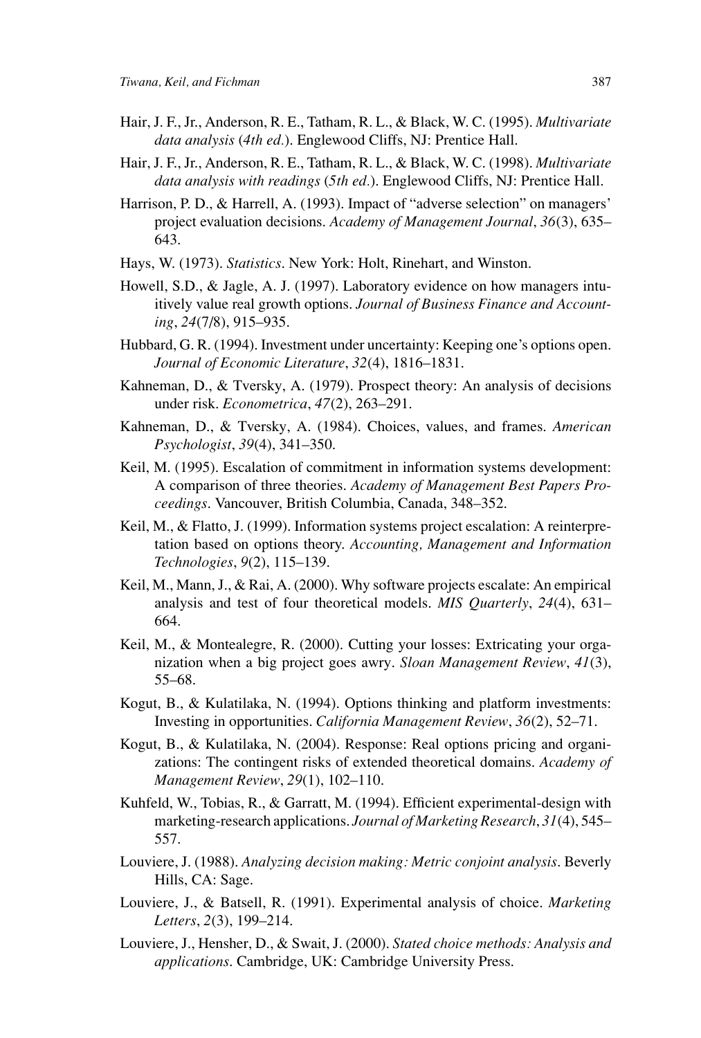- Hair, J. F., Jr., Anderson, R. E., Tatham, R. L., & Black, W. C. (1995). *Multivariate data analysis* (*4th ed.*). Englewood Cliffs, NJ: Prentice Hall.
- Hair, J. F., Jr., Anderson, R. E., Tatham, R. L., & Black, W. C. (1998). *Multivariate data analysis with readings* (*5th ed.*). Englewood Cliffs, NJ: Prentice Hall.
- Harrison, P. D., & Harrell, A. (1993). Impact of "adverse selection" on managers' project evaluation decisions. *Academy of Management Journal*, *36*(3), 635– 643.
- Hays, W. (1973). *Statistics*. New York: Holt, Rinehart, and Winston.
- Howell, S.D., & Jagle, A. J. (1997). Laboratory evidence on how managers intuitively value real growth options. *Journal of Business Finance and Accounting*, *24*(7/8), 915–935.
- Hubbard, G. R. (1994). Investment under uncertainty: Keeping one's options open. *Journal of Economic Literature*, *32*(4), 1816–1831.
- Kahneman, D., & Tversky, A. (1979). Prospect theory: An analysis of decisions under risk. *Econometrica*, *47*(2), 263–291.
- Kahneman, D., & Tversky, A. (1984). Choices, values, and frames. *American Psychologist*, *39*(4), 341–350.
- Keil, M. (1995). Escalation of commitment in information systems development: A comparison of three theories. *Academy of Management Best Papers Proceedings*. Vancouver, British Columbia, Canada, 348–352.
- Keil, M., & Flatto, J. (1999). Information systems project escalation: A reinterpretation based on options theory. *Accounting, Management and Information Technologies*, *9*(2), 115–139.
- Keil, M., Mann, J., & Rai, A. (2000). Why software projects escalate: An empirical analysis and test of four theoretical models. *MIS Quarterly*, *24*(4), 631– 664.
- Keil, M., & Montealegre, R. (2000). Cutting your losses: Extricating your organization when a big project goes awry. *Sloan Management Review*, *41*(3), 55–68.
- Kogut, B., & Kulatilaka, N. (1994). Options thinking and platform investments: Investing in opportunities. *California Management Review*, *36*(2), 52–71.
- Kogut, B., & Kulatilaka, N. (2004). Response: Real options pricing and organizations: The contingent risks of extended theoretical domains. *Academy of Management Review*, *29*(1), 102–110.
- Kuhfeld, W., Tobias, R., & Garratt, M. (1994). Efficient experimental-design with marketing-research applications. *Journal of Marketing Research*, *31*(4), 545– 557.
- Louviere, J. (1988). *Analyzing decision making: Metric conjoint analysis*. Beverly Hills, CA: Sage.
- Louviere, J., & Batsell, R. (1991). Experimental analysis of choice. *Marketing Letters*, *2*(3), 199–214.
- Louviere, J., Hensher, D., & Swait, J. (2000). *Stated choice methods: Analysis and applications*. Cambridge, UK: Cambridge University Press.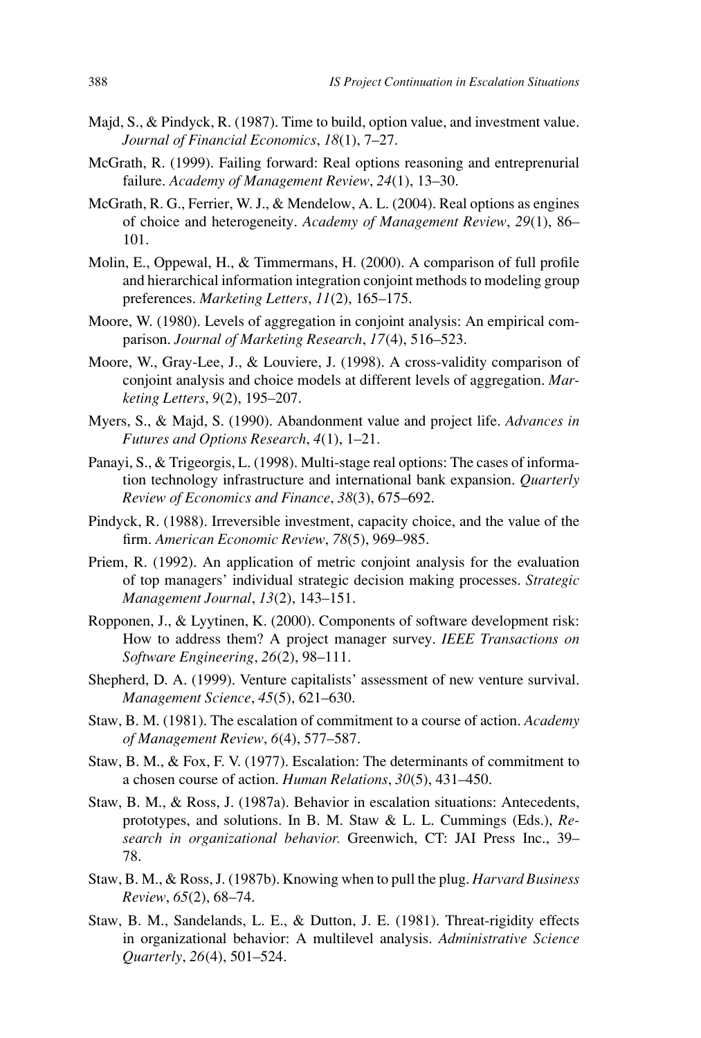- Majd, S., & Pindyck, R. (1987). Time to build, option value, and investment value. *Journal of Financial Economics*, *18*(1), 7–27.
- McGrath, R. (1999). Failing forward: Real options reasoning and entreprenurial failure. *Academy of Management Review*, *24*(1), 13–30.
- McGrath, R. G., Ferrier, W. J., & Mendelow, A. L. (2004). Real options as engines of choice and heterogeneity. *Academy of Management Review*, *29*(1), 86– 101.
- Molin, E., Oppewal, H., & Timmermans, H. (2000). A comparison of full profile and hierarchical information integration conjoint methods to modeling group preferences. *Marketing Letters*, *11*(2), 165–175.
- Moore, W. (1980). Levels of aggregation in conjoint analysis: An empirical comparison. *Journal of Marketing Research*, *17*(4), 516–523.
- Moore, W., Gray-Lee, J., & Louviere, J. (1998). A cross-validity comparison of conjoint analysis and choice models at different levels of aggregation. *Marketing Letters*, *9*(2), 195–207.
- Myers, S., & Majd, S. (1990). Abandonment value and project life. *Advances in Futures and Options Research*, *4*(1), 1–21.
- Panayi, S., & Trigeorgis, L. (1998). Multi-stage real options: The cases of information technology infrastructure and international bank expansion. *Quarterly Review of Economics and Finance*, *38*(3), 675–692.
- Pindyck, R. (1988). Irreversible investment, capacity choice, and the value of the firm. *American Economic Review*, *78*(5), 969–985.
- Priem, R. (1992). An application of metric conjoint analysis for the evaluation of top managers' individual strategic decision making processes. *Strategic Management Journal*, *13*(2), 143–151.
- Ropponen, J., & Lyytinen, K. (2000). Components of software development risk: How to address them? A project manager survey. *IEEE Transactions on Software Engineering*, *26*(2), 98–111.
- Shepherd, D. A. (1999). Venture capitalists' assessment of new venture survival. *Management Science*, *45*(5), 621–630.
- Staw, B. M. (1981). The escalation of commitment to a course of action. *Academy of Management Review*, *6*(4), 577–587.
- Staw, B. M., & Fox, F. V. (1977). Escalation: The determinants of commitment to a chosen course of action. *Human Relations*, *30*(5), 431–450.
- Staw, B. M., & Ross, J. (1987a). Behavior in escalation situations: Antecedents, prototypes, and solutions. In B. M. Staw & L. L. Cummings (Eds.), *Research in organizational behavior.* Greenwich, CT: JAI Press Inc., 39– 78.
- Staw, B. M., & Ross, J. (1987b). Knowing when to pull the plug. *Harvard Business Review*, *65*(2), 68–74.
- Staw, B. M., Sandelands, L. E., & Dutton, J. E. (1981). Threat-rigidity effects in organizational behavior: A multilevel analysis. *Administrative Science Quarterly*, *26*(4), 501–524.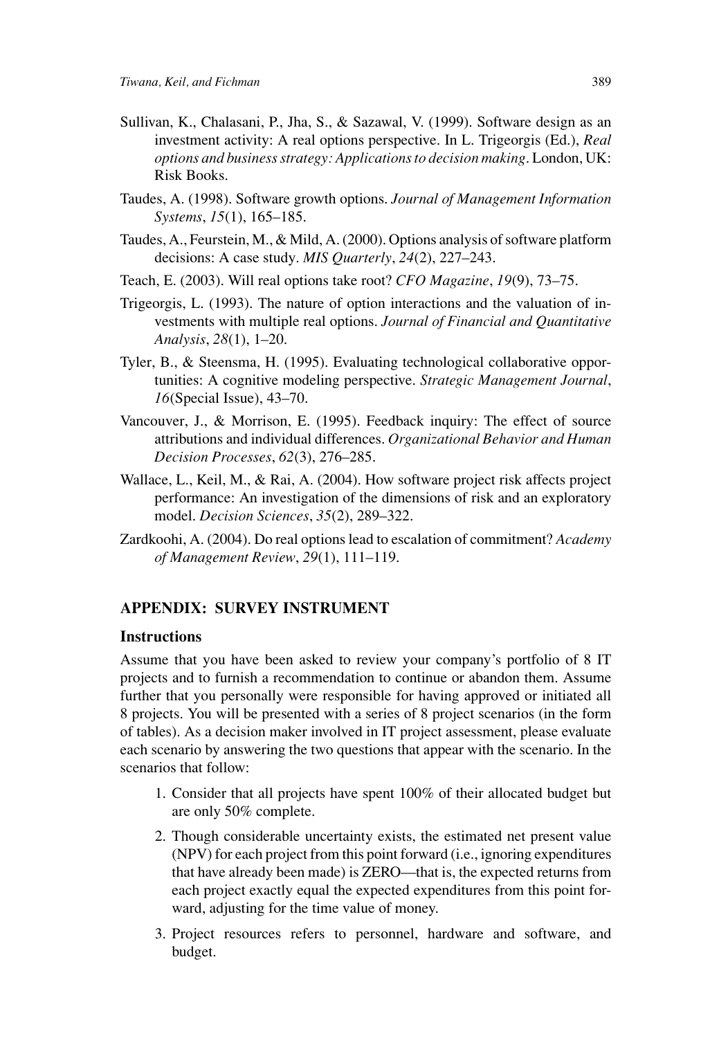- Sullivan, K., Chalasani, P., Jha, S., & Sazawal, V. (1999). Software design as an investment activity: A real options perspective. In L. Trigeorgis (Ed.), *Real options and business strategy: Applications to decision making*. London, UK: Risk Books.
- Taudes, A. (1998). Software growth options. *Journal of Management Information Systems*, *15*(1), 165–185.
- Taudes, A., Feurstein, M., & Mild, A. (2000). Options analysis of software platform decisions: A case study. *MIS Quarterly*, *24*(2), 227–243.
- Teach, E. (2003). Will real options take root? *CFO Magazine*, *19*(9), 73–75.
- Trigeorgis, L. (1993). The nature of option interactions and the valuation of investments with multiple real options. *Journal of Financial and Quantitative Analysis*, *28*(1), 1–20.
- Tyler, B., & Steensma, H. (1995). Evaluating technological collaborative opportunities: A cognitive modeling perspective. *Strategic Management Journal*, *16*(Special Issue), 43–70.
- Vancouver, J., & Morrison, E. (1995). Feedback inquiry: The effect of source attributions and individual differences. *Organizational Behavior and Human Decision Processes*, *62*(3), 276–285.
- Wallace, L., Keil, M., & Rai, A. (2004). How software project risk affects project performance: An investigation of the dimensions of risk and an exploratory model. *Decision Sciences*, *35*(2), 289–322.
- Zardkoohi, A. (2004). Do real options lead to escalation of commitment? *Academy of Management Review*, *29*(1), 111–119.

# **APPENDIX: SURVEY INSTRUMENT**

## **Instructions**

Assume that you have been asked to review your company's portfolio of 8 IT projects and to furnish a recommendation to continue or abandon them. Assume further that you personally were responsible for having approved or initiated all 8 projects. You will be presented with a series of 8 project scenarios (in the form of tables). As a decision maker involved in IT project assessment, please evaluate each scenario by answering the two questions that appear with the scenario. In the scenarios that follow:

- 1. Consider that all projects have spent 100% of their allocated budget but are only 50% complete.
- 2. Though considerable uncertainty exists, the estimated net present value (NPV) for each project from this point forward (i.e., ignoring expenditures that have already been made) is ZERO—that is, the expected returns from each project exactly equal the expected expenditures from this point forward, adjusting for the time value of money.
- 3. Project resources refers to personnel, hardware and software, and budget.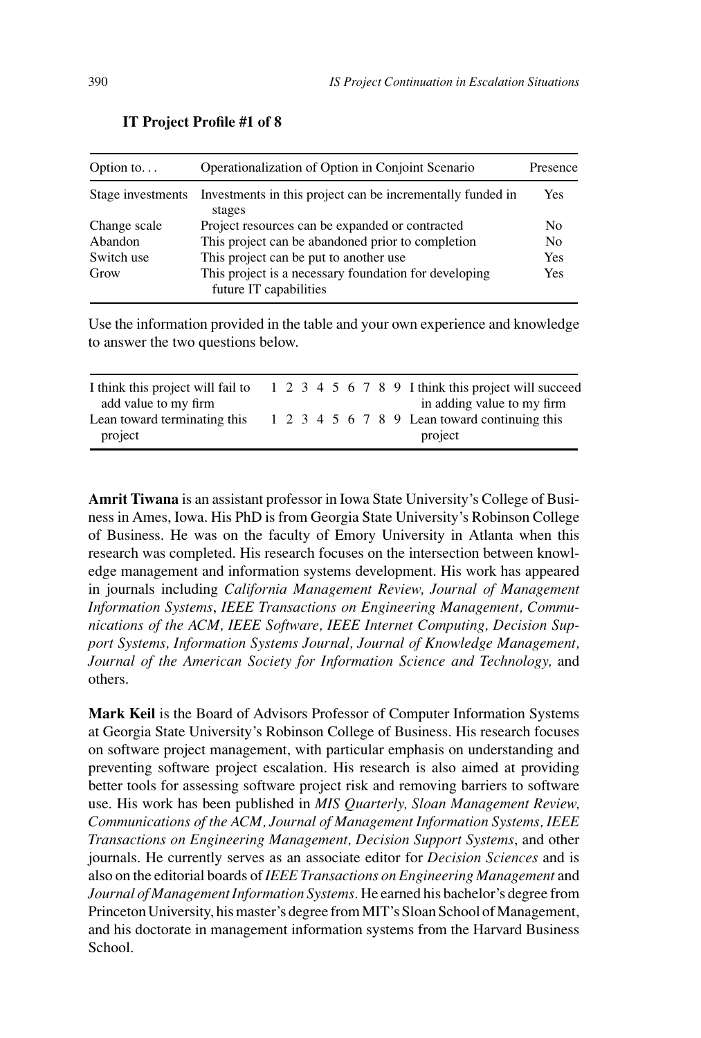| Option to         | Operationalization of Option in Conjoint Scenario                               | Presence   |
|-------------------|---------------------------------------------------------------------------------|------------|
| Stage investments | Investments in this project can be incrementally funded in<br>stages            | <b>Yes</b> |
| Change scale      | Project resources can be expanded or contracted                                 | No.        |
| Abandon           | This project can be abandoned prior to completion                               | No.        |
| Switch use        | This project can be put to another use                                          | <b>Yes</b> |
| Grow              | This project is a necessary foundation for developing<br>future IT capabilities | <b>Yes</b> |

#### **IT Project Profile #1 of 8**

Use the information provided in the table and your own experience and knowledge to answer the two questions below.

| I think this project will fail to |  |  |  |  | 1 2 3 4 5 6 7 8 9 I think this project will succeed |
|-----------------------------------|--|--|--|--|-----------------------------------------------------|
| add value to my firm              |  |  |  |  | in adding value to my firm                          |
| Lean toward terminating this.     |  |  |  |  | 1 2 3 4 5 6 7 8 9 Lean toward continuing this       |
| project                           |  |  |  |  | project                                             |

**Amrit Tiwana** is an assistant professor in Iowa State University's College of Business in Ames, Iowa. His PhD is from Georgia State University's Robinson College of Business. He was on the faculty of Emory University in Atlanta when this research was completed. His research focuses on the intersection between knowledge management and information systems development. His work has appeared in journals including *California Management Review, Journal of Management Information Systems*, *IEEE Transactions on Engineering Management, Communications of the ACM, IEEE Software, IEEE Internet Computing, Decision Support Systems, Information Systems Journal, Journal of Knowledge Management, Journal of the American Society for Information Science and Technology,* and others.

**Mark Keil** is the Board of Advisors Professor of Computer Information Systems at Georgia State University's Robinson College of Business. His research focuses on software project management, with particular emphasis on understanding and preventing software project escalation. His research is also aimed at providing better tools for assessing software project risk and removing barriers to software use. His work has been published in *MIS Quarterly, Sloan Management Review, Communications of the ACM, Journal of Management Information Systems, IEEE Transactions on Engineering Management, Decision Support Systems*, and other journals. He currently serves as an associate editor for *Decision Sciences* and is also on the editorial boards of *IEEE Transactions on Engineering Management* and *Journal of Management Information Systems*. He earned his bachelor's degree from Princeton University, his master's degree from MIT's Sloan School of Management, and his doctorate in management information systems from the Harvard Business School.